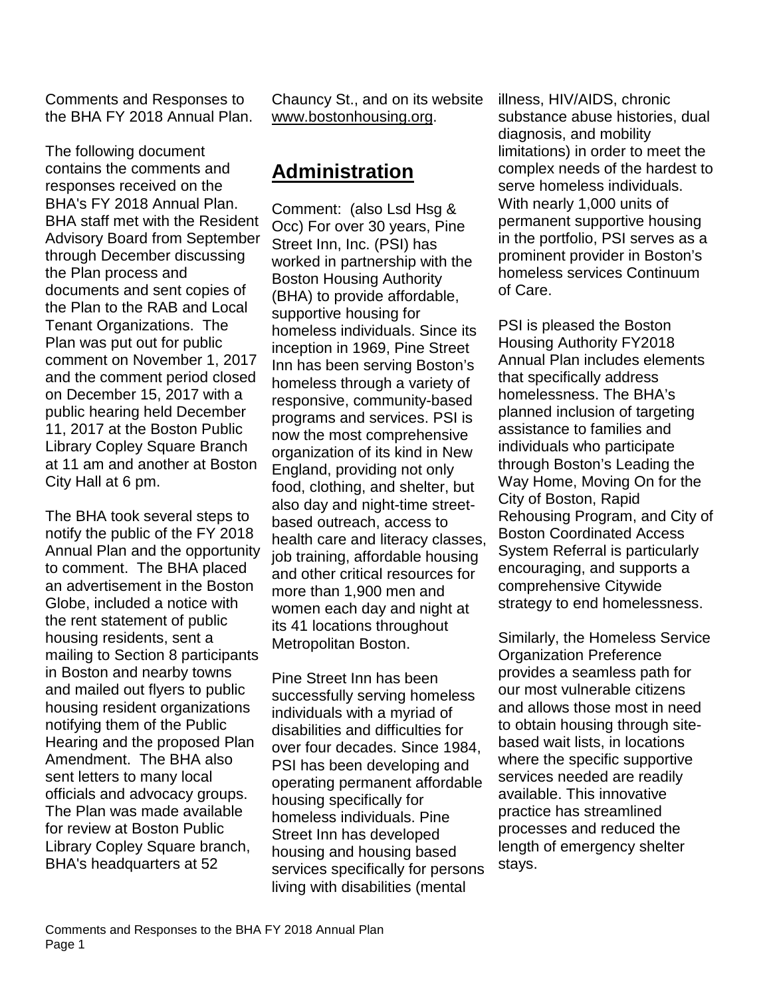Comments and Responses to the BHA FY 2018 Annual Plan.

The following document contains the comments and responses received on the BHA's FY 2018 Annual Plan. BHA staff met with the Resident Advisory Board from September through December discussing the Plan process and documents and sent copies of the Plan to the RAB and Local Tenant Organizations. The Plan was put out for public comment on November 1, 2017 and the comment period closed on December 15, 2017 with a public hearing held December 11, 2017 at the Boston Public Library Copley Square Branch at 11 am and another at Boston City Hall at 6 pm.

The BHA took several steps to notify the public of the FY 2018 Annual Plan and the opportunity to comment. The BHA placed an advertisement in the Boston Globe, included a notice with the rent statement of public housing residents, sent a mailing to Section 8 participants in Boston and nearby towns and mailed out flyers to public housing resident organizations notifying them of the Public Hearing and the proposed Plan Amendment. The BHA also sent letters to many local officials and advocacy groups. The Plan was made available for review at Boston Public Library Copley Square branch, BHA's headquarters at 52

Chauncy St., and on its website [www.bostonhousing.org.](http://www.bostonhousing.org/)

# **Administration**

Comment: (also Lsd Hsg & Occ) For over 30 years, Pine Street Inn, Inc. (PSI) has worked in partnership with the Boston Housing Authority (BHA) to provide affordable, supportive housing for homeless individuals. Since its inception in 1969, Pine Street Inn has been serving Boston's homeless through a variety of responsive, community-based programs and services. PSI is now the most comprehensive organization of its kind in New England, providing not only food, clothing, and shelter, but also day and night-time streetbased outreach, access to health care and literacy classes, job training, affordable housing and other critical resources for more than 1,900 men and women each day and night at its 41 locations throughout Metropolitan Boston.

Pine Street Inn has been successfully serving homeless individuals with a myriad of disabilities and difficulties for over four decades. Since 1984, PSI has been developing and operating permanent affordable housing specifically for homeless individuals. Pine Street Inn has developed housing and housing based services specifically for persons living with disabilities (mental

illness, HIV/AIDS, chronic substance abuse histories, dual diagnosis, and mobility limitations) in order to meet the complex needs of the hardest to serve homeless individuals. With nearly 1,000 units of permanent supportive housing in the portfolio, PSI serves as a prominent provider in Boston's homeless services Continuum of Care.

PSI is pleased the Boston Housing Authority FY2018 Annual Plan includes elements that specifically address homelessness. The BHA's planned inclusion of targeting assistance to families and individuals who participate through Boston's Leading the Way Home, Moving On for the City of Boston, Rapid Rehousing Program, and City of Boston Coordinated Access System Referral is particularly encouraging, and supports a comprehensive Citywide strategy to end homelessness.

Similarly, the Homeless Service Organization Preference provides a seamless path for our most vulnerable citizens and allows those most in need to obtain housing through sitebased wait lists, in locations where the specific supportive services needed are readily available. This innovative practice has streamlined processes and reduced the length of emergency shelter stays.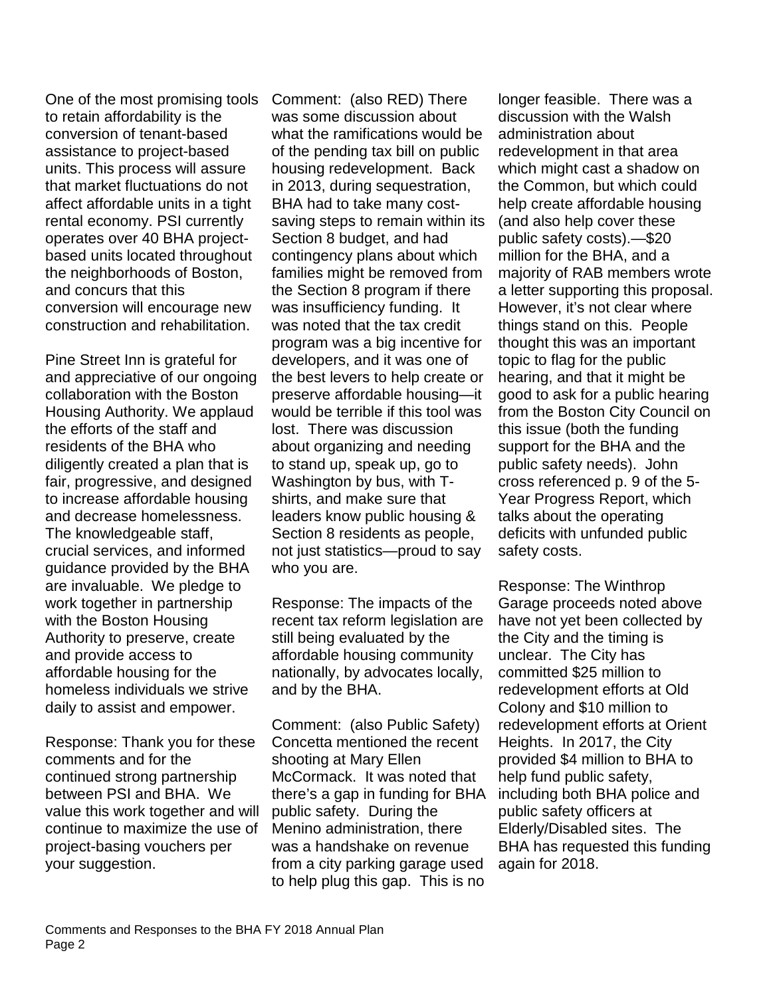One of the most promising tools to retain affordability is the conversion of tenant-based assistance to project-based units. This process will assure that market fluctuations do not affect affordable units in a tight rental economy. PSI currently operates over 40 BHA projectbased units located throughout the neighborhoods of Boston, and concurs that this conversion will encourage new construction and rehabilitation.

Pine Street Inn is grateful for and appreciative of our ongoing collaboration with the Boston Housing Authority. We applaud the efforts of the staff and residents of the BHA who diligently created a plan that is fair, progressive, and designed to increase affordable housing and decrease homelessness. The knowledgeable staff, crucial services, and informed guidance provided by the BHA are invaluable. We pledge to work together in partnership with the Boston Housing Authority to preserve, create and provide access to affordable housing for the homeless individuals we strive daily to assist and empower.

Response: Thank you for these comments and for the continued strong partnership between PSI and BHA. We value this work together and will continue to maximize the use of project-basing vouchers per your suggestion.

Comment: (also RED) There was some discussion about what the ramifications would be of the pending tax bill on public housing redevelopment. Back in 2013, during sequestration, BHA had to take many costsaving steps to remain within its Section 8 budget, and had contingency plans about which families might be removed from the Section 8 program if there was insufficiency funding. It was noted that the tax credit program was a big incentive for developers, and it was one of the best levers to help create or preserve affordable housing—it would be terrible if this tool was lost. There was discussion about organizing and needing to stand up, speak up, go to Washington by bus, with Tshirts, and make sure that leaders know public housing & Section 8 residents as people, not just statistics—proud to say who you are.

Response: The impacts of the recent tax reform legislation are still being evaluated by the affordable housing community nationally, by advocates locally, and by the BHA.

Comment: (also Public Safety) Concetta mentioned the recent shooting at Mary Ellen McCormack. It was noted that there's a gap in funding for BHA public safety. During the Menino administration, there was a handshake on revenue from a city parking garage used to help plug this gap. This is no

longer feasible. There was a discussion with the Walsh administration about redevelopment in that area which might cast a shadow on the Common, but which could help create affordable housing (and also help cover these public safety costs).—\$20 million for the BHA, and a majority of RAB members wrote a letter supporting this proposal. However, it's not clear where things stand on this. People thought this was an important topic to flag for the public hearing, and that it might be good to ask for a public hearing from the Boston City Council on this issue (both the funding support for the BHA and the public safety needs). John cross referenced p. 9 of the 5- Year Progress Report, which talks about the operating deficits with unfunded public safety costs.

Response: The Winthrop Garage proceeds noted above have not yet been collected by the City and the timing is unclear. The City has committed \$25 million to redevelopment efforts at Old Colony and \$10 million to redevelopment efforts at Orient Heights. In 2017, the City provided \$4 million to BHA to help fund public safety, including both BHA police and public safety officers at Elderly/Disabled sites. The BHA has requested this funding again for 2018.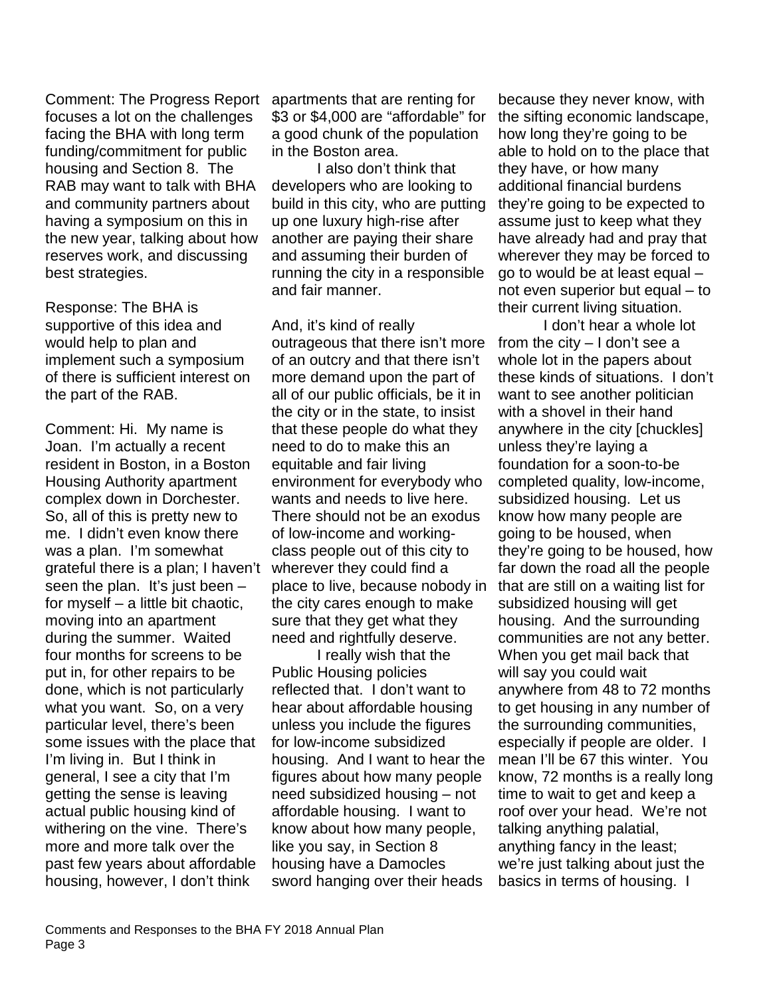Comment: The Progress Report focuses a lot on the challenges facing the BHA with long term funding/commitment for public housing and Section 8. The RAB may want to talk with BHA and community partners about having a symposium on this in the new year, talking about how reserves work, and discussing best strategies.

Response: The BHA is supportive of this idea and would help to plan and implement such a symposium of there is sufficient interest on the part of the RAB.

Comment: Hi. My name is Joan. I'm actually a recent resident in Boston, in a Boston Housing Authority apartment complex down in Dorchester. So, all of this is pretty new to me. I didn't even know there was a plan. I'm somewhat grateful there is a plan; I haven't seen the plan. It's just been  $$ for myself – a little bit chaotic, moving into an apartment during the summer. Waited four months for screens to be put in, for other repairs to be done, which is not particularly what you want. So, on a very particular level, there's been some issues with the place that I'm living in. But I think in general, I see a city that I'm getting the sense is leaving actual public housing kind of withering on the vine. There's more and more talk over the past few years about affordable housing, however, I don't think

apartments that are renting for \$3 or \$4,000 are "affordable" for a good chunk of the population in the Boston area.

I also don't think that developers who are looking to build in this city, who are putting up one luxury high-rise after another are paying their share and assuming their burden of running the city in a responsible and fair manner.

And, it's kind of really outrageous that there isn't more of an outcry and that there isn't more demand upon the part of all of our public officials, be it in the city or in the state, to insist that these people do what they need to do to make this an equitable and fair living environment for everybody who wants and needs to live here. There should not be an exodus of low-income and workingclass people out of this city to wherever they could find a place to live, because nobody in the city cares enough to make sure that they get what they need and rightfully deserve.

I really wish that the Public Housing policies reflected that. I don't want to hear about affordable housing unless you include the figures for low-income subsidized housing. And I want to hear the figures about how many people need subsidized housing – not affordable housing. I want to know about how many people, like you say, in Section 8 housing have a Damocles sword hanging over their heads

because they never know, with the sifting economic landscape, how long they're going to be able to hold on to the place that they have, or how many additional financial burdens they're going to be expected to assume just to keep what they have already had and pray that wherever they may be forced to go to would be at least equal – not even superior but equal – to their current living situation.

I don't hear a whole lot from the city – I don't see a whole lot in the papers about these kinds of situations. I don't want to see another politician with a shovel in their hand anywhere in the city [chuckles] unless they're laying a foundation for a soon-to-be completed quality, low-income, subsidized housing. Let us know how many people are going to be housed, when they're going to be housed, how far down the road all the people that are still on a waiting list for subsidized housing will get housing. And the surrounding communities are not any better. When you get mail back that will say you could wait anywhere from 48 to 72 months to get housing in any number of the surrounding communities, especially if people are older. I mean I'll be 67 this winter. You know, 72 months is a really long time to wait to get and keep a roof over your head. We're not talking anything palatial, anything fancy in the least; we're just talking about just the basics in terms of housing. I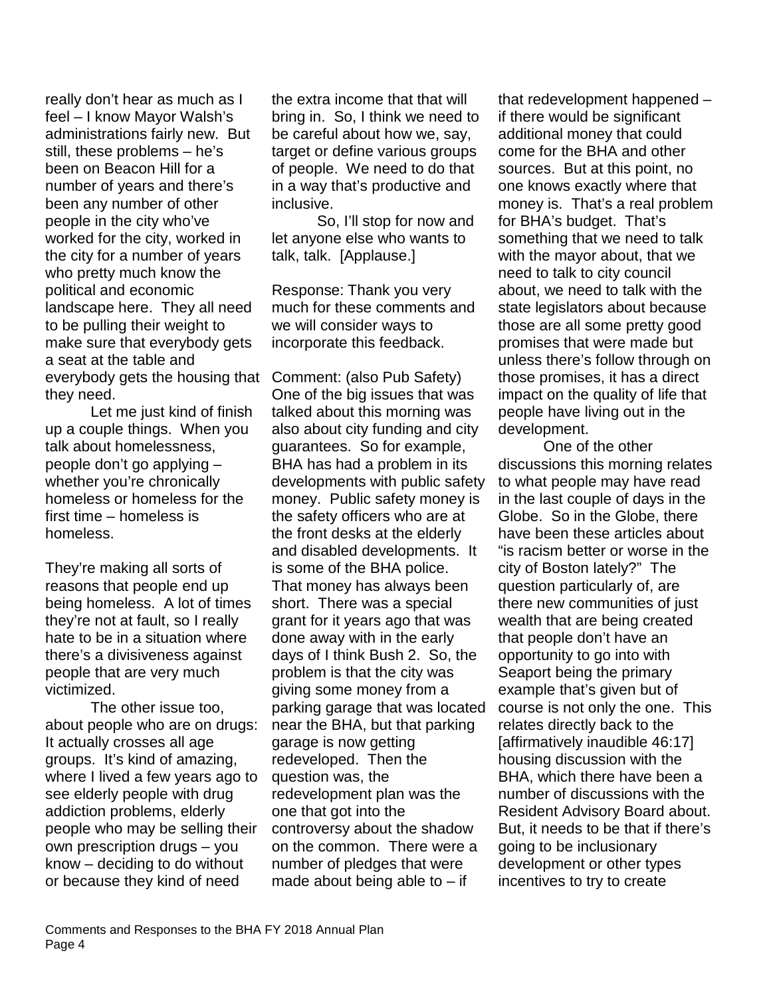really don't hear as much as I feel – I know Mayor Walsh's administrations fairly new. But still, these problems – he's been on Beacon Hill for a number of years and there's been any number of other people in the city who've worked for the city, worked in the city for a number of years who pretty much know the political and economic landscape here. They all need to be pulling their weight to make sure that everybody gets a seat at the table and everybody gets the housing that Comment: (also Pub Safety) they need.

Let me just kind of finish up a couple things. When you talk about homelessness, people don't go applying – whether you're chronically homeless or homeless for the first time – homeless is homeless.

They're making all sorts of reasons that people end up being homeless. A lot of times they're not at fault, so I really hate to be in a situation where there's a divisiveness against people that are very much victimized.

The other issue too, about people who are on drugs: It actually crosses all age groups. It's kind of amazing, where I lived a few years ago to see elderly people with drug addiction problems, elderly people who may be selling their own prescription drugs – you know – deciding to do without or because they kind of need

the extra income that that will bring in. So, I think we need to be careful about how we, say, target or define various groups of people. We need to do that in a way that's productive and inclusive.

So, I'll stop for now and let anyone else who wants to talk, talk. [Applause.]

Response: Thank you very much for these comments and we will consider ways to incorporate this feedback.

One of the big issues that was talked about this morning was also about city funding and city guarantees. So for example, BHA has had a problem in its developments with public safety money. Public safety money is the safety officers who are at the front desks at the elderly and disabled developments. It is some of the BHA police. That money has always been short. There was a special grant for it years ago that was done away with in the early days of I think Bush 2. So, the problem is that the city was giving some money from a parking garage that was located near the BHA, but that parking garage is now getting redeveloped. Then the question was, the redevelopment plan was the one that got into the controversy about the shadow on the common. There were a number of pledges that were made about being able to  $-$  if

that redevelopment happened – if there would be significant additional money that could come for the BHA and other sources. But at this point, no one knows exactly where that money is. That's a real problem for BHA's budget. That's something that we need to talk with the mayor about, that we need to talk to city council about, we need to talk with the state legislators about because those are all some pretty good promises that were made but unless there's follow through on those promises, it has a direct impact on the quality of life that people have living out in the development.

One of the other discussions this morning relates to what people may have read in the last couple of days in the Globe. So in the Globe, there have been these articles about "is racism better or worse in the city of Boston lately?" The question particularly of, are there new communities of just wealth that are being created that people don't have an opportunity to go into with Seaport being the primary example that's given but of course is not only the one. This relates directly back to the [affirmatively inaudible 46:17] housing discussion with the BHA, which there have been a number of discussions with the Resident Advisory Board about. But, it needs to be that if there's going to be inclusionary development or other types incentives to try to create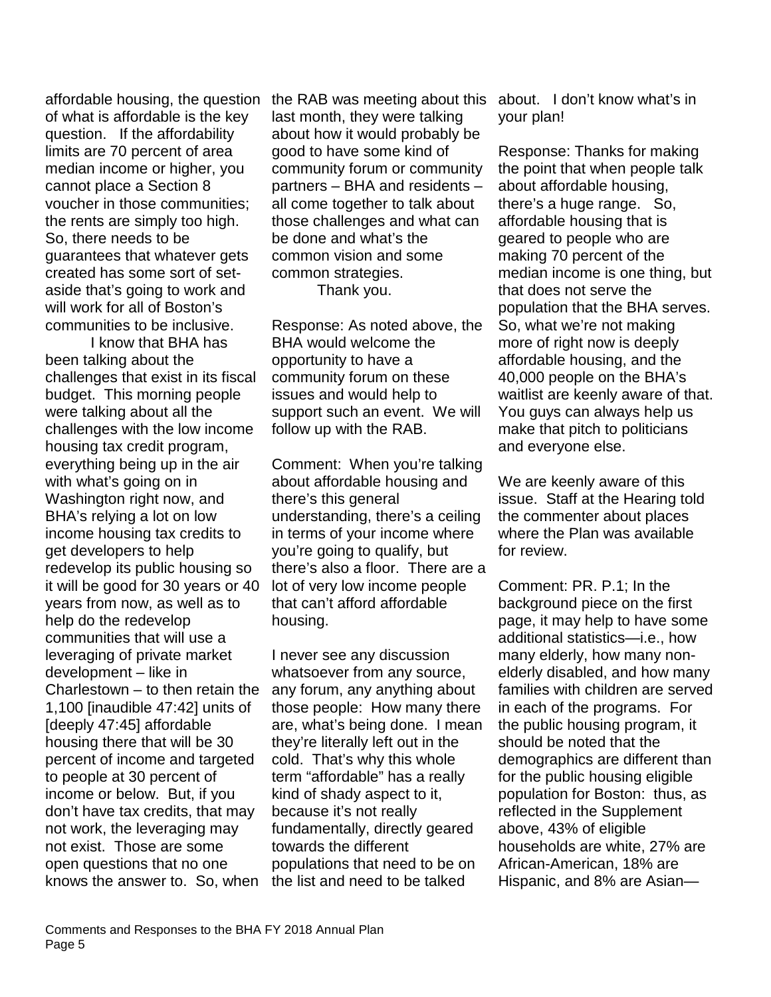of what is affordable is the key question. If the affordability limits are 70 percent of area median income or higher, you cannot place a Section 8 voucher in those communities; the rents are simply too high. So, there needs to be guarantees that whatever gets created has some sort of setaside that's going to work and will work for all of Boston's communities to be inclusive.

I know that BHA has been talking about the challenges that exist in its fiscal budget. This morning people were talking about all the challenges with the low income housing tax credit program, everything being up in the air with what's going on in Washington right now, and BHA's relying a lot on low income housing tax credits to get developers to help redevelop its public housing so it will be good for 30 years or 40 years from now, as well as to help do the redevelop communities that will use a leveraging of private market development – like in Charlestown – to then retain the 1,100 [inaudible 47:42] units of [deeply 47:45] affordable housing there that will be 30 percent of income and targeted to people at 30 percent of income or below. But, if you don't have tax credits, that may not work, the leveraging may not exist. Those are some open questions that no one knows the answer to. So, when the list and need to be talked

affordable housing, the question the RAB was meeting about this about. I don't know what's in last month, they were talking about how it would probably be good to have some kind of community forum or community partners – BHA and residents – all come together to talk about those challenges and what can be done and what's the common vision and some common strategies. Thank you.

> Response: As noted above, the BHA would welcome the opportunity to have a community forum on these issues and would help to support such an event. We will follow up with the RAB.

Comment: When you're talking about affordable housing and there's this general understanding, there's a ceiling in terms of your income where you're going to qualify, but there's also a floor. There are a lot of very low income people that can't afford affordable housing.

I never see any discussion whatsoever from any source, any forum, any anything about those people: How many there are, what's being done. I mean they're literally left out in the cold. That's why this whole term "affordable" has a really kind of shady aspect to it, because it's not really fundamentally, directly geared towards the different populations that need to be on

your plan!

Response: Thanks for making the point that when people talk about affordable housing, there's a huge range. So, affordable housing that is geared to people who are making 70 percent of the median income is one thing, but that does not serve the population that the BHA serves. So, what we're not making more of right now is deeply affordable housing, and the 40,000 people on the BHA's waitlist are keenly aware of that. You guys can always help us make that pitch to politicians and everyone else.

We are keenly aware of this issue. Staff at the Hearing told the commenter about places where the Plan was available for review.

Comment: PR. P.1; In the background piece on the first page, it may help to have some additional statistics—i.e., how many elderly, how many nonelderly disabled, and how many families with children are served in each of the programs. For the public housing program, it should be noted that the demographics are different than for the public housing eligible population for Boston: thus, as reflected in the Supplement above, 43% of eligible households are white, 27% are African-American, 18% are Hispanic, and 8% are Asian—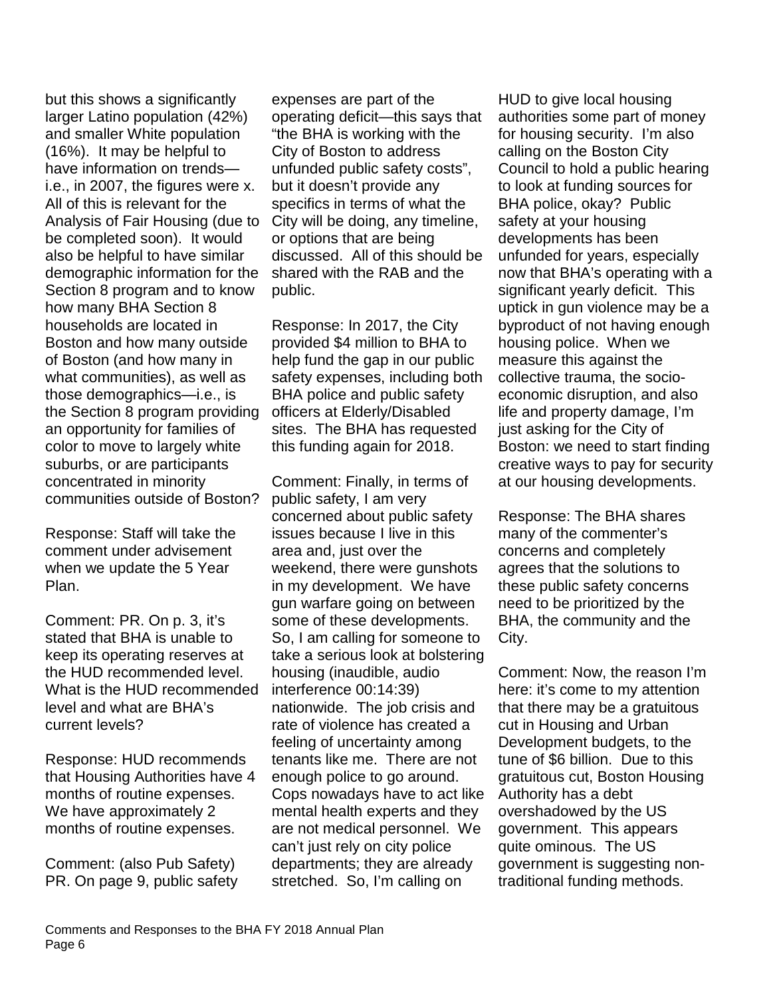but this shows a significantly larger Latino population (42%) and smaller White population (16%). It may be helpful to have information on trends i.e., in 2007, the figures were x. All of this is relevant for the Analysis of Fair Housing (due to be completed soon). It would also be helpful to have similar demographic information for the Section 8 program and to know how many BHA Section 8 households are located in Boston and how many outside of Boston (and how many in what communities), as well as those demographics—i.e., is the Section 8 program providing an opportunity for families of color to move to largely white suburbs, or are participants concentrated in minority communities outside of Boston?

Response: Staff will take the comment under advisement when we update the 5 Year Plan.

Comment: PR. On p. 3, it's stated that BHA is unable to keep its operating reserves at the HUD recommended level. What is the HUD recommended level and what are BHA's current levels?

Response: HUD recommends that Housing Authorities have 4 months of routine expenses. We have approximately 2 months of routine expenses.

Comment: (also Pub Safety) PR. On page 9, public safety

expenses are part of the operating deficit—this says that "the BHA is working with the City of Boston to address unfunded public safety costs", but it doesn't provide any specifics in terms of what the City will be doing, any timeline, or options that are being discussed. All of this should be shared with the RAB and the public.

Response: In 2017, the City provided \$4 million to BHA to help fund the gap in our public safety expenses, including both BHA police and public safety officers at Elderly/Disabled sites. The BHA has requested this funding again for 2018.

Comment: Finally, in terms of public safety, I am very concerned about public safety issues because I live in this area and, just over the weekend, there were gunshots in my development. We have gun warfare going on between some of these developments. So, I am calling for someone to take a serious look at bolstering housing (inaudible, audio interference 00:14:39) nationwide. The job crisis and rate of violence has created a feeling of uncertainty among tenants like me. There are not enough police to go around. Cops nowadays have to act like mental health experts and they are not medical personnel. We can't just rely on city police departments; they are already stretched. So, I'm calling on

HUD to give local housing authorities some part of money for housing security. I'm also calling on the Boston City Council to hold a public hearing to look at funding sources for BHA police, okay? Public safety at your housing developments has been unfunded for years, especially now that BHA's operating with a significant yearly deficit. This uptick in gun violence may be a byproduct of not having enough housing police. When we measure this against the collective trauma, the socioeconomic disruption, and also life and property damage, I'm just asking for the City of Boston: we need to start finding creative ways to pay for security at our housing developments.

Response: The BHA shares many of the commenter's concerns and completely agrees that the solutions to these public safety concerns need to be prioritized by the BHA, the community and the City.

Comment: Now, the reason I'm here: it's come to my attention that there may be a gratuitous cut in Housing and Urban Development budgets, to the tune of \$6 billion. Due to this gratuitous cut, Boston Housing Authority has a debt overshadowed by the US government. This appears quite ominous. The US government is suggesting nontraditional funding methods.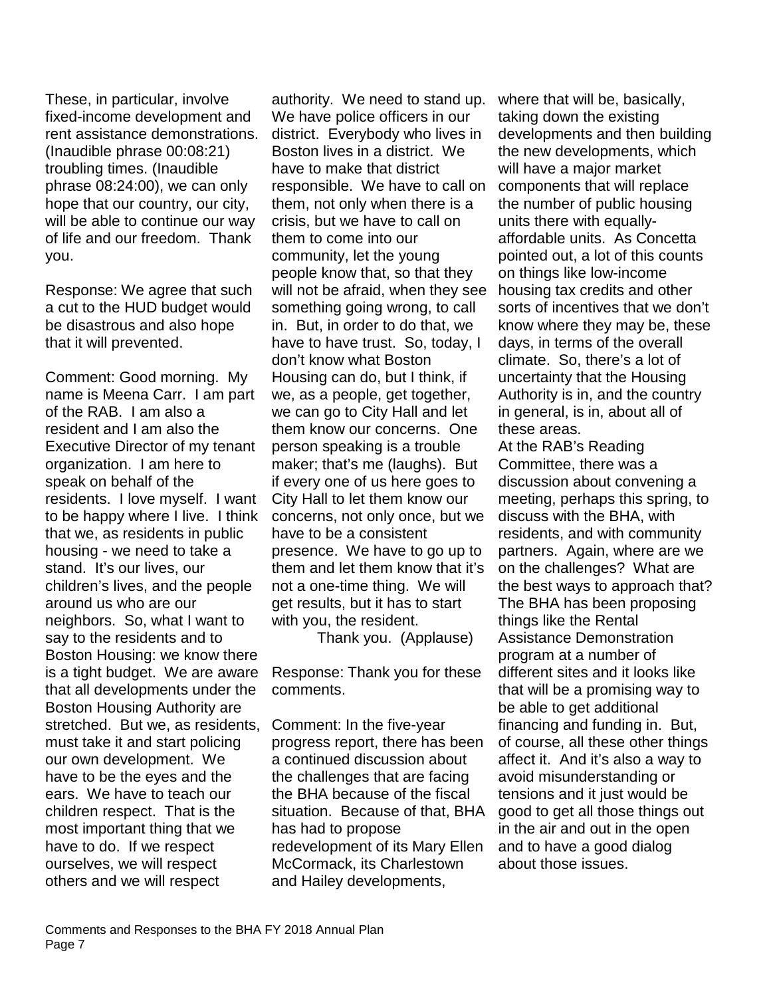These, in particular, involve fixed-income development and rent assistance demonstrations. (Inaudible phrase 00:08:21) troubling times. (Inaudible phrase 08:24:00), we can only hope that our country, our city, will be able to continue our way of life and our freedom. Thank you.

Response: We agree that such a cut to the HUD budget would be disastrous and also hope that it will prevented.

Comment: Good morning. My name is Meena Carr. I am part of the RAB. I am also a resident and I am also the Executive Director of my tenant organization. I am here to speak on behalf of the residents. I love myself. I want to be happy where I live. I think that we, as residents in public housing - we need to take a stand. It's our lives, our children's lives, and the people around us who are our neighbors. So, what I want to say to the residents and to Boston Housing: we know there is a tight budget. We are aware that all developments under the Boston Housing Authority are stretched. But we, as residents, must take it and start policing our own development. We have to be the eyes and the ears. We have to teach our children respect. That is the most important thing that we have to do. If we respect ourselves, we will respect others and we will respect

authority. We need to stand up. We have police officers in our district. Everybody who lives in Boston lives in a district. We have to make that district responsible. We have to call on them, not only when there is a crisis, but we have to call on them to come into our community, let the young people know that, so that they will not be afraid, when they see something going wrong, to call in. But, in order to do that, we have to have trust. So, today, I don't know what Boston Housing can do, but I think, if we, as a people, get together, we can go to City Hall and let them know our concerns. One person speaking is a trouble maker; that's me (laughs). But if every one of us here goes to City Hall to let them know our concerns, not only once, but we have to be a consistent presence. We have to go up to them and let them know that it's not a one-time thing. We will get results, but it has to start with you, the resident.

Thank you. (Applause)

Response: Thank you for these comments.

Comment: In the five-year progress report, there has been a continued discussion about the challenges that are facing the BHA because of the fiscal situation. Because of that, BHA has had to propose redevelopment of its Mary Ellen McCormack, its Charlestown and Hailey developments,

where that will be, basically, taking down the existing developments and then building the new developments, which will have a major market components that will replace the number of public housing units there with equallyaffordable units. As Concetta pointed out, a lot of this counts on things like low-income housing tax credits and other sorts of incentives that we don't know where they may be, these days, in terms of the overall climate. So, there's a lot of uncertainty that the Housing Authority is in, and the country in general, is in, about all of these areas.

At the RAB's Reading Committee, there was a discussion about convening a meeting, perhaps this spring, to discuss with the BHA, with residents, and with community partners. Again, where are we on the challenges? What are the best ways to approach that? The BHA has been proposing things like the Rental Assistance Demonstration program at a number of different sites and it looks like that will be a promising way to be able to get additional financing and funding in. But, of course, all these other things affect it. And it's also a way to avoid misunderstanding or tensions and it just would be good to get all those things out in the air and out in the open and to have a good dialog about those issues.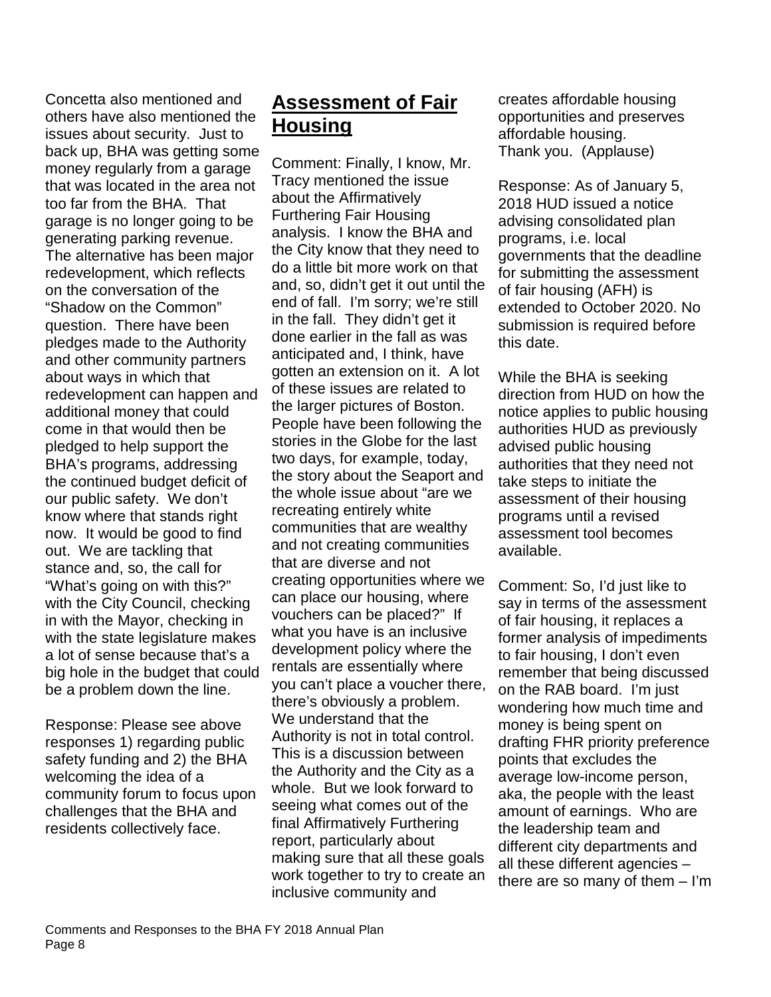Concetta also mentioned and others have also mentioned the issues about security. Just to back up, BHA was getting some money regularly from a garage that was located in the area not too far from the BHA. That garage is no longer going to be generating parking revenue. The alternative has been major redevelopment, which reflects on the conversation of the "Shadow on the Common" question. There have been pledges made to the Authority and other community partners about ways in which that redevelopment can happen and additional money that could come in that would then be pledged to help support the BHA's programs, addressing the continued budget deficit of our public safety. We don't know where that stands right now. It would be good to find out. We are tackling that stance and, so, the call for "What's going on with this?" with the City Council, checking in with the Mayor, checking in with the state legislature makes a lot of sense because that's a big hole in the budget that could be a problem down the line.

Response: Please see above responses 1) regarding public safety funding and 2) the BHA welcoming the idea of a community forum to focus upon challenges that the BHA and residents collectively face.

## **Assessment of Fair Housing**

Comment: Finally, I know, Mr. Tracy mentioned the issue about the Affirmatively Furthering Fair Housing analysis. I know the BHA and the City know that they need to do a little bit more work on that and, so, didn't get it out until the end of fall. I'm sorry; we're still in the fall. They didn't get it done earlier in the fall as was anticipated and, I think, have gotten an extension on it. A lot of these issues are related to the larger pictures of Boston. People have been following the stories in the Globe for the last two days, for example, today, the story about the Seaport and the whole issue about "are we recreating entirely white communities that are wealthy and not creating communities that are diverse and not creating opportunities where we can place our housing, where vouchers can be placed?" If what you have is an inclusive development policy where the rentals are essentially where you can't place a voucher there, there's obviously a problem. We understand that the Authority is not in total control. This is a discussion between the Authority and the City as a whole. But we look forward to seeing what comes out of the final Affirmatively Furthering report, particularly about making sure that all these goals work together to try to create an inclusive community and

creates affordable housing opportunities and preserves affordable housing. Thank you. (Applause)

Response: As of January 5, 2018 HUD issued a notice advising consolidated plan programs, i.e. local governments that the deadline for submitting the assessment of fair housing (AFH) is extended to October 2020. No submission is required before this date.

While the BHA is seeking direction from HUD on how the notice applies to public housing authorities HUD as previously advised public housing authorities that they need not take steps to initiate the assessment of their housing programs until a revised assessment tool becomes available.

Comment: So, I'd just like to say in terms of the assessment of fair housing, it replaces a former analysis of impediments to fair housing, I don't even remember that being discussed on the RAB board. I'm just wondering how much time and money is being spent on drafting FHR priority preference points that excludes the average low-income person, aka, the people with the least amount of earnings. Who are the leadership team and different city departments and all these different agencies – there are so many of them – I'm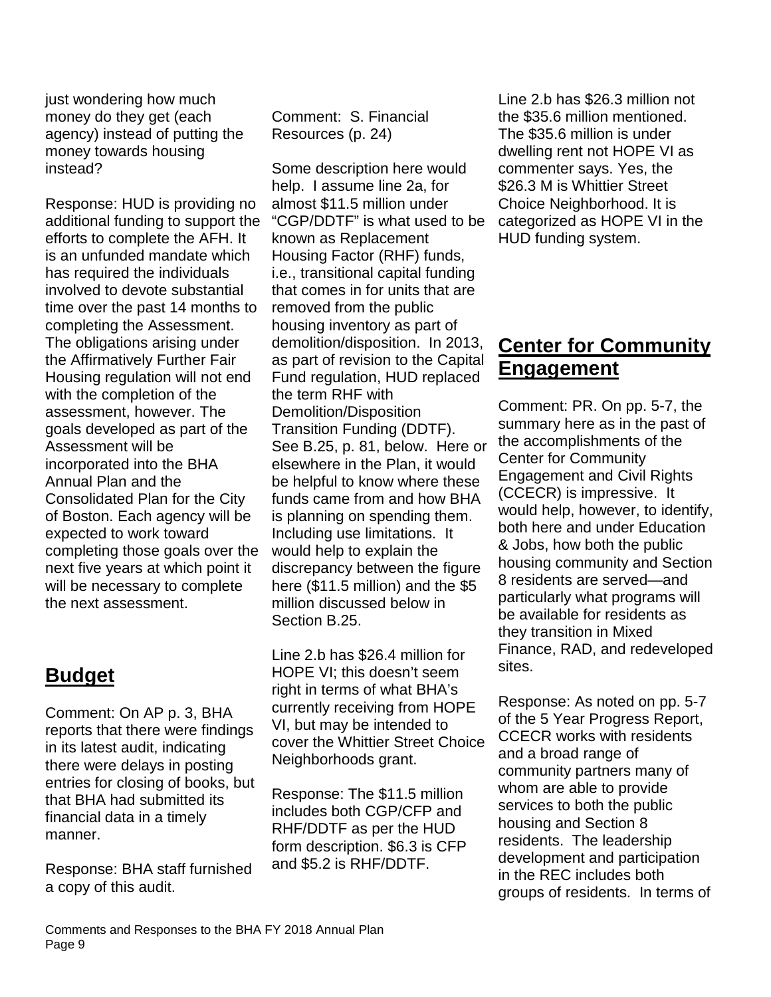just wondering how much money do they get (each agency) instead of putting the money towards housing instead?

Response: HUD is providing no additional funding to support the efforts to complete the AFH. It is an unfunded mandate which has required the individuals involved to devote substantial time over the past 14 months to completing the Assessment. The obligations arising under the Affirmatively Further Fair Housing regulation will not end with the completion of the assessment, however. The goals developed as part of the Assessment will be incorporated into the BHA Annual Plan and the Consolidated Plan for the City of Boston. Each agency will be expected to work toward completing those goals over the next five years at which point it will be necessary to complete the next assessment.

## **Budget**

Comment: On AP p. 3, BHA reports that there were findings in its latest audit, indicating there were delays in posting entries for closing of books, but that BHA had submitted its financial data in a timely manner.

Response: BHA staff furnished a copy of this audit.

Comment: S. Financial Resources (p. 24)

Some description here would help. I assume line 2a, for almost \$11.5 million under "CGP/DDTF" is what used to be known as Replacement Housing Factor (RHF) funds, i.e., transitional capital funding that comes in for units that are removed from the public housing inventory as part of demolition/disposition. In 2013, as part of revision to the Capital Fund regulation, HUD replaced the term RHF with Demolition/Disposition Transition Funding (DDTF). See B.25, p. 81, below. Here or elsewhere in the Plan, it would be helpful to know where these funds came from and how BHA is planning on spending them. Including use limitations. It would help to explain the discrepancy between the figure here (\$11.5 million) and the \$5 million discussed below in Section B.25.

Line 2.b has \$26.4 million for HOPE VI; this doesn't seem right in terms of what BHA's currently receiving from HOPE VI, but may be intended to cover the Whittier Street Choice Neighborhoods grant.

Response: The \$11.5 million includes both CGP/CFP and RHF/DDTF as per the HUD form description. \$6.3 is CFP and \$5.2 is RHF/DDTF.

Line 2.b has \$26.3 million not the \$35.6 million mentioned. The \$35.6 million is under dwelling rent not HOPE VI as commenter says. Yes, the \$26.3 M is Whittier Street Choice Neighborhood. It is categorized as HOPE VI in the HUD funding system.

# **Center for Community Engagement**

Comment: PR. On pp. 5-7, the summary here as in the past of the accomplishments of the Center for Community Engagement and Civil Rights (CCECR) is impressive. It would help, however, to identify, both here and under Education & Jobs, how both the public housing community and Section 8 residents are served—and particularly what programs will be available for residents as they transition in Mixed Finance, RAD, and redeveloped sites.

Response: As noted on pp. 5-7 of the 5 Year Progress Report, CCECR works with residents and a broad range of community partners many of whom are able to provide services to both the public housing and Section 8 residents. The leadership development and participation in the REC includes both groups of residents. In terms of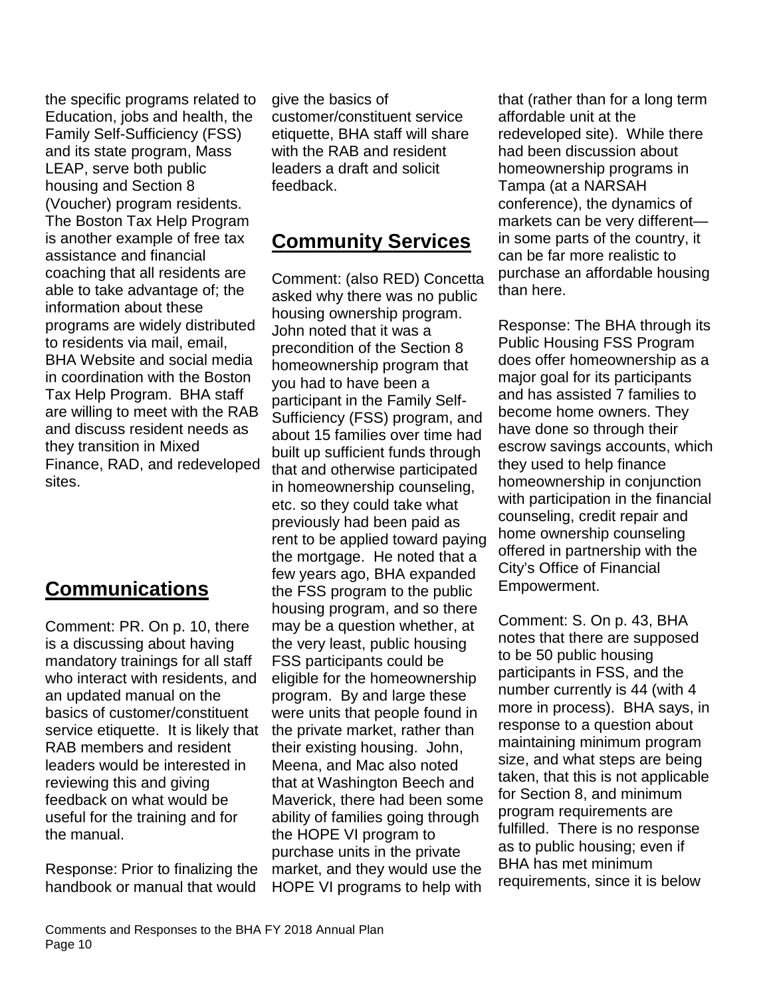the specific programs related to Education, jobs and health, the Family Self-Sufficiency (FSS) and its state program, Mass LEAP, serve both public housing and Section 8 (Voucher) program residents. The Boston Tax Help Program is another example of free tax assistance and financial coaching that all residents are able to take advantage of; the information about these programs are widely distributed to residents via mail, email, BHA Website and social media in coordination with the Boston Tax Help Program. BHA staff are willing to meet with the RAB and discuss resident needs as they transition in Mixed Finance, RAD, and redeveloped sites.

# **Communications**

Comment: PR. On p. 10, there is a discussing about having mandatory trainings for all staff who interact with residents, and an updated manual on the basics of customer/constituent service etiquette. It is likely that RAB members and resident leaders would be interested in reviewing this and giving feedback on what would be useful for the training and for the manual.

Response: Prior to finalizing the handbook or manual that would

give the basics of customer/constituent service etiquette, BHA staff will share with the RAB and resident leaders a draft and solicit feedback.

## **Community Services**

Comment: (also RED) Concetta asked why there was no public housing ownership program. John noted that it was a precondition of the Section 8 homeownership program that you had to have been a participant in the Family Self-Sufficiency (FSS) program, and about 15 families over time had built up sufficient funds through that and otherwise participated in homeownership counseling, etc. so they could take what previously had been paid as rent to be applied toward paying the mortgage. He noted that a few years ago, BHA expanded the FSS program to the public housing program, and so there may be a question whether, at the very least, public housing FSS participants could be eligible for the homeownership program. By and large these were units that people found in the private market, rather than their existing housing. John, Meena, and Mac also noted that at Washington Beech and Maverick, there had been some ability of families going through the HOPE VI program to purchase units in the private market, and they would use the HOPE VI programs to help with

that (rather than for a long term affordable unit at the redeveloped site). While there had been discussion about homeownership programs in Tampa (at a NARSAH conference), the dynamics of markets can be very different in some parts of the country, it can be far more realistic to purchase an affordable housing than here.

Response: The BHA through its Public Housing FSS Program does offer homeownership as a major goal for its participants and has assisted 7 families to become home owners. They have done so through their escrow savings accounts, which they used to help finance homeownership in conjunction with participation in the financial counseling, credit repair and home ownership counseling offered in partnership with the City's Office of Financial Empowerment.

Comment: S. On p. 43, BHA notes that there are supposed to be 50 public housing participants in FSS, and the number currently is 44 (with 4 more in process). BHA says, in response to a question about maintaining minimum program size, and what steps are being taken, that this is not applicable for Section 8, and minimum program requirements are fulfilled. There is no response as to public housing; even if BHA has met minimum requirements, since it is below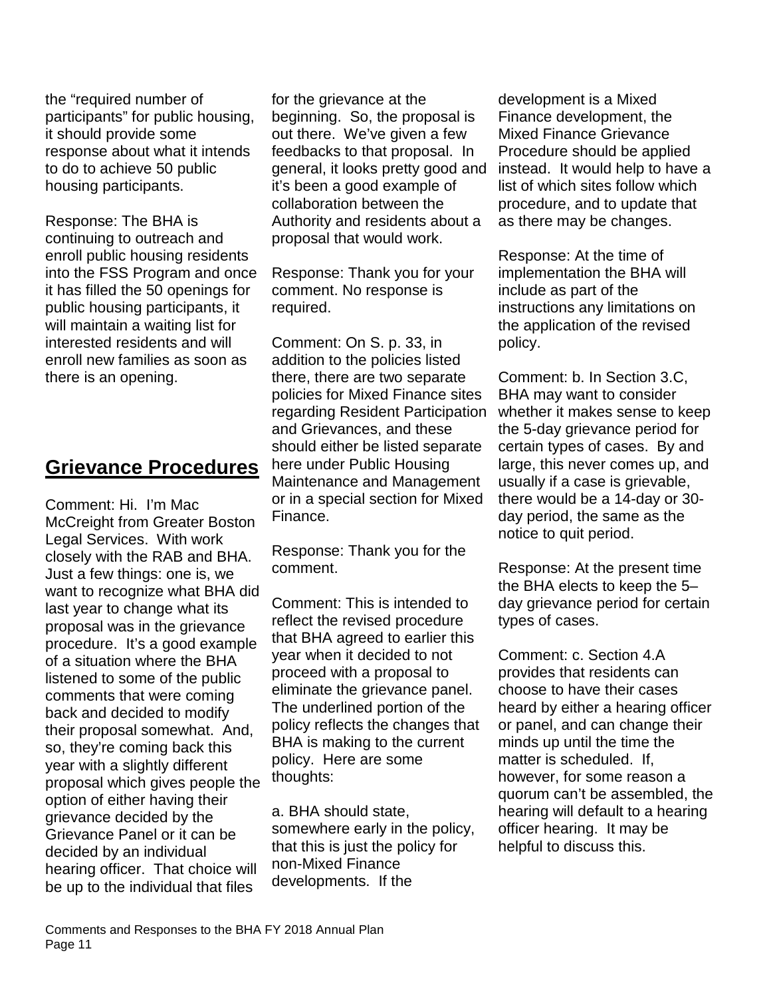the "required number of participants" for public housing, it should provide some response about what it intends to do to achieve 50 public housing participants.

Response: The BHA is continuing to outreach and enroll public housing residents into the FSS Program and once it has filled the 50 openings for public housing participants, it will maintain a waiting list for interested residents and will enroll new families as soon as there is an opening.

#### **Grievance Procedures**

Comment: Hi. I'm Mac McCreight from Greater Boston Legal Services. With work closely with the RAB and BHA. Just a few things: one is, we want to recognize what BHA did last year to change what its proposal was in the grievance procedure. It's a good example of a situation where the BHA listened to some of the public comments that were coming back and decided to modify their proposal somewhat. And, so, they're coming back this year with a slightly different proposal which gives people the option of either having their grievance decided by the Grievance Panel or it can be decided by an individual hearing officer. That choice will be up to the individual that files

for the grievance at the beginning. So, the proposal is out there. We've given a few feedbacks to that proposal. In general, it looks pretty good and it's been a good example of collaboration between the Authority and residents about a proposal that would work.

Response: Thank you for your comment. No response is required.

Comment: On S. p. 33, in addition to the policies listed there, there are two separate policies for Mixed Finance sites regarding Resident Participation and Grievances, and these should either be listed separate here under Public Housing Maintenance and Management or in a special section for Mixed Finance.

Response: Thank you for the comment.

Comment: This is intended to reflect the revised procedure that BHA agreed to earlier this year when it decided to not proceed with a proposal to eliminate the grievance panel. The underlined portion of the policy reflects the changes that BHA is making to the current policy. Here are some thoughts:

a. BHA should state, somewhere early in the policy, that this is just the policy for non-Mixed Finance developments. If the

development is a Mixed Finance development, the Mixed Finance Grievance Procedure should be applied instead. It would help to have a list of which sites follow which procedure, and to update that as there may be changes.

Response: At the time of implementation the BHA will include as part of the instructions any limitations on the application of the revised policy.

Comment: b. In Section 3.C, BHA may want to consider whether it makes sense to keep the 5-day grievance period for certain types of cases. By and large, this never comes up, and usually if a case is grievable, there would be a 14-day or 30 day period, the same as the notice to quit period.

Response: At the present time the BHA elects to keep the 5– day grievance period for certain types of cases.

Comment: c. Section 4.A provides that residents can choose to have their cases heard by either a hearing officer or panel, and can change their minds up until the time the matter is scheduled. If, however, for some reason a quorum can't be assembled, the hearing will default to a hearing officer hearing. It may be helpful to discuss this.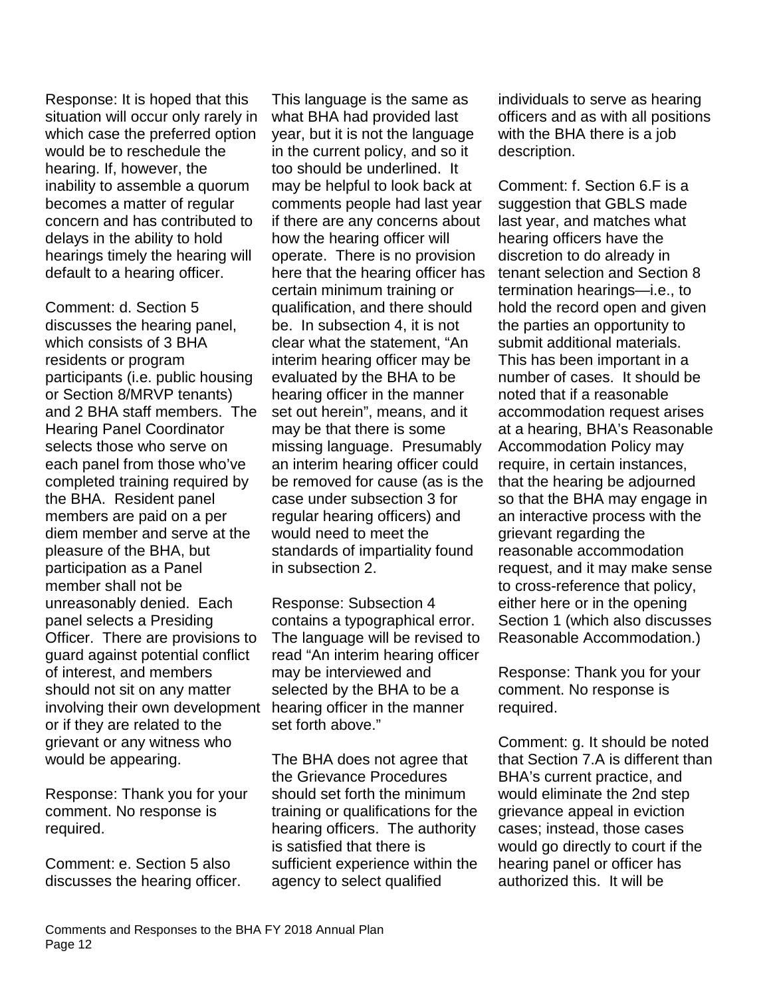Response: It is hoped that this situation will occur only rarely in which case the preferred option would be to reschedule the hearing. If, however, the inability to assemble a quorum becomes a matter of regular concern and has contributed to delays in the ability to hold hearings timely the hearing will default to a hearing officer.

Comment: d. Section 5 discusses the hearing panel, which consists of 3 BHA residents or program participants (i.e. public housing or Section 8/MRVP tenants) and 2 BHA staff members. The Hearing Panel Coordinator selects those who serve on each panel from those who've completed training required by the BHA. Resident panel members are paid on a per diem member and serve at the pleasure of the BHA, but participation as a Panel member shall not be unreasonably denied. Each panel selects a Presiding Officer. There are provisions to guard against potential conflict of interest, and members should not sit on any matter involving their own development or if they are related to the grievant or any witness who would be appearing.

Response: Thank you for your comment. No response is required.

Comment: e. Section 5 also discusses the hearing officer.

This language is the same as what BHA had provided last year, but it is not the language in the current policy, and so it too should be underlined. It may be helpful to look back at comments people had last year if there are any concerns about how the hearing officer will operate. There is no provision here that the hearing officer has certain minimum training or qualification, and there should be. In subsection 4, it is not clear what the statement, "An interim hearing officer may be evaluated by the BHA to be hearing officer in the manner set out herein", means, and it may be that there is some missing language. Presumably an interim hearing officer could be removed for cause (as is the case under subsection 3 for regular hearing officers) and would need to meet the standards of impartiality found in subsection 2.

Response: Subsection 4 contains a typographical error. The language will be revised to read "An interim hearing officer may be interviewed and selected by the BHA to be a hearing officer in the manner set forth above."

The BHA does not agree that the Grievance Procedures should set forth the minimum training or qualifications for the hearing officers. The authority is satisfied that there is sufficient experience within the agency to select qualified

individuals to serve as hearing officers and as with all positions with the BHA there is a job description.

Comment: f. Section 6.F is a suggestion that GBLS made last year, and matches what hearing officers have the discretion to do already in tenant selection and Section 8 termination hearings—i.e., to hold the record open and given the parties an opportunity to submit additional materials. This has been important in a number of cases. It should be noted that if a reasonable accommodation request arises at a hearing, BHA's Reasonable Accommodation Policy may require, in certain instances, that the hearing be adjourned so that the BHA may engage in an interactive process with the grievant regarding the reasonable accommodation request, and it may make sense to cross-reference that policy, either here or in the opening Section 1 (which also discusses Reasonable Accommodation.)

Response: Thank you for your comment. No response is required.

Comment: g. It should be noted that Section 7.A is different than BHA's current practice, and would eliminate the 2nd step grievance appeal in eviction cases; instead, those cases would go directly to court if the hearing panel or officer has authorized this. It will be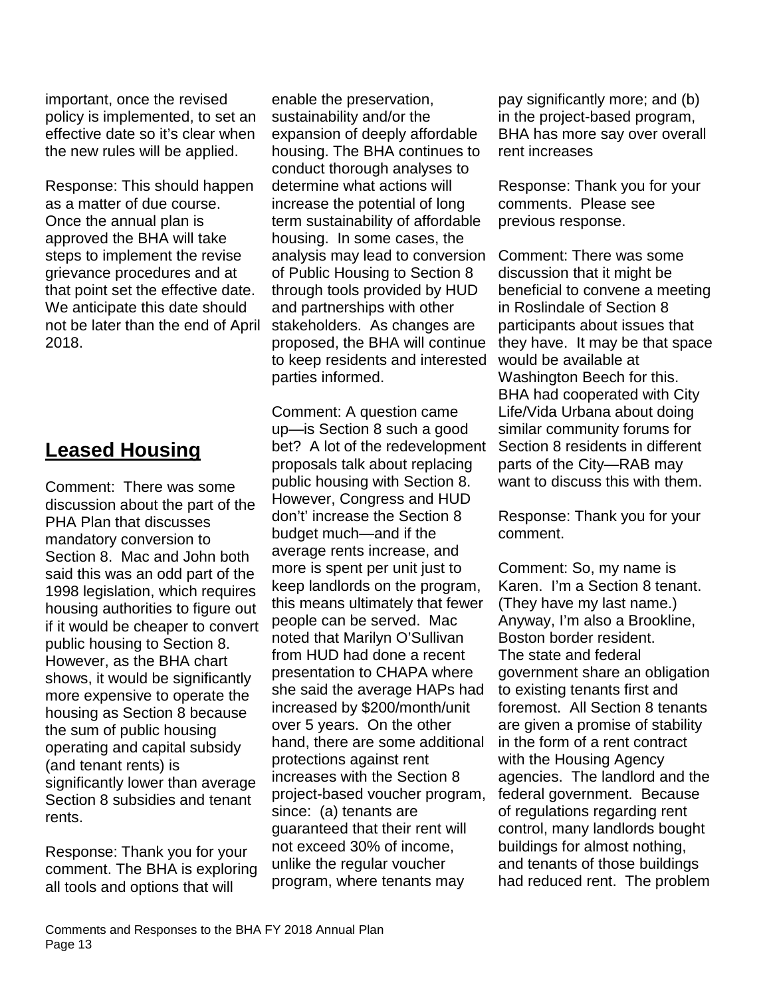important, once the revised policy is implemented, to set an effective date so it's clear when the new rules will be applied.

Response: This should happen as a matter of due course. Once the annual plan is approved the BHA will take steps to implement the revise grievance procedures and at that point set the effective date. We anticipate this date should not be later than the end of April 2018.

## **Leased Housing**

Comment: There was some discussion about the part of the PHA Plan that discusses mandatory conversion to Section 8. Mac and John both said this was an odd part of the 1998 legislation, which requires housing authorities to figure out if it would be cheaper to convert public housing to Section 8. However, as the BHA chart shows, it would be significantly more expensive to operate the housing as Section 8 because the sum of public housing operating and capital subsidy (and tenant rents) is significantly lower than average Section 8 subsidies and tenant rents.

Response: Thank you for your comment. The BHA is exploring all tools and options that will

enable the preservation, sustainability and/or the expansion of deeply affordable housing. The BHA continues to conduct thorough analyses to determine what actions will increase the potential of long term sustainability of affordable housing. In some cases, the analysis may lead to conversion of Public Housing to Section 8 through tools provided by HUD and partnerships with other stakeholders. As changes are proposed, the BHA will continue to keep residents and interested parties informed.

Comment: A question came up—is Section 8 such a good bet? A lot of the redevelopment proposals talk about replacing public housing with Section 8. However, Congress and HUD don't' increase the Section 8 budget much—and if the average rents increase, and more is spent per unit just to keep landlords on the program, this means ultimately that fewer people can be served. Mac noted that Marilyn O'Sullivan from HUD had done a recent presentation to CHAPA where she said the average HAPs had increased by \$200/month/unit over 5 years. On the other hand, there are some additional protections against rent increases with the Section 8 project-based voucher program, since: (a) tenants are guaranteed that their rent will not exceed 30% of income, unlike the regular voucher program, where tenants may

pay significantly more; and (b) in the project-based program, BHA has more say over overall rent increases

Response: Thank you for your comments. Please see previous response.

Comment: There was some discussion that it might be beneficial to convene a meeting in Roslindale of Section 8 participants about issues that they have. It may be that space would be available at Washington Beech for this. BHA had cooperated with City Life/Vida Urbana about doing similar community forums for Section 8 residents in different parts of the City—RAB may want to discuss this with them.

Response: Thank you for your comment.

Comment: So, my name is Karen. I'm a Section 8 tenant. (They have my last name.) Anyway, I'm also a Brookline, Boston border resident. The state and federal government share an obligation to existing tenants first and foremost. All Section 8 tenants are given a promise of stability in the form of a rent contract with the Housing Agency agencies. The landlord and the federal government. Because of regulations regarding rent control, many landlords bought buildings for almost nothing, and tenants of those buildings had reduced rent. The problem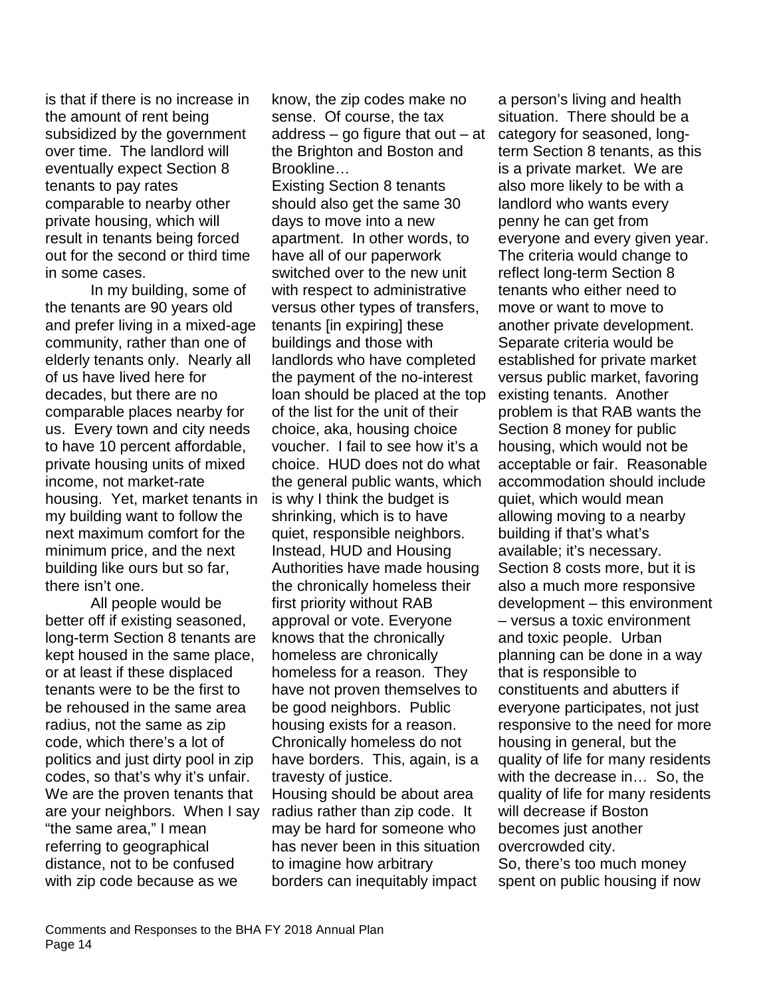is that if there is no increase in the amount of rent being subsidized by the government over time. The landlord will eventually expect Section 8 tenants to pay rates comparable to nearby other private housing, which will result in tenants being forced out for the second or third time in some cases.

In my building, some of the tenants are 90 years old and prefer living in a mixed-age community, rather than one of elderly tenants only. Nearly all of us have lived here for decades, but there are no comparable places nearby for us. Every town and city needs to have 10 percent affordable, private housing units of mixed income, not market-rate housing. Yet, market tenants in my building want to follow the next maximum comfort for the minimum price, and the next building like ours but so far, there isn't one.

All people would be better off if existing seasoned, long-term Section 8 tenants are kept housed in the same place, or at least if these displaced tenants were to be the first to be rehoused in the same area radius, not the same as zip code, which there's a lot of politics and just dirty pool in zip codes, so that's why it's unfair. We are the proven tenants that are your neighbors. When I say "the same area," I mean referring to geographical distance, not to be confused with zip code because as we

know, the zip codes make no sense. Of course, the tax address  $-$  go figure that out  $-$  at the Brighton and Boston and Brookline…

Existing Section 8 tenants should also get the same 30 days to move into a new apartment. In other words, to have all of our paperwork switched over to the new unit with respect to administrative versus other types of transfers, tenants [in expiring] these buildings and those with landlords who have completed the payment of the no-interest loan should be placed at the top of the list for the unit of their choice, aka, housing choice voucher. I fail to see how it's a choice. HUD does not do what the general public wants, which is why I think the budget is shrinking, which is to have quiet, responsible neighbors. Instead, HUD and Housing Authorities have made housing the chronically homeless their first priority without RAB approval or vote. Everyone knows that the chronically homeless are chronically homeless for a reason. They have not proven themselves to be good neighbors. Public housing exists for a reason. Chronically homeless do not have borders. This, again, is a travesty of justice. Housing should be about area radius rather than zip code. It may be hard for someone who has never been in this situation to imagine how arbitrary borders can inequitably impact

a person's living and health situation. There should be a category for seasoned, longterm Section 8 tenants, as this is a private market. We are also more likely to be with a landlord who wants every penny he can get from everyone and every given year. The criteria would change to reflect long-term Section 8 tenants who either need to move or want to move to another private development. Separate criteria would be established for private market versus public market, favoring existing tenants. Another problem is that RAB wants the Section 8 money for public housing, which would not be acceptable or fair. Reasonable accommodation should include quiet, which would mean allowing moving to a nearby building if that's what's available; it's necessary. Section 8 costs more, but it is also a much more responsive development – this environment – versus a toxic environment and toxic people. Urban planning can be done in a way that is responsible to constituents and abutters if everyone participates, not just responsive to the need for more housing in general, but the quality of life for many residents with the decrease in… So, the quality of life for many residents will decrease if Boston becomes just another overcrowded city. So, there's too much money spent on public housing if now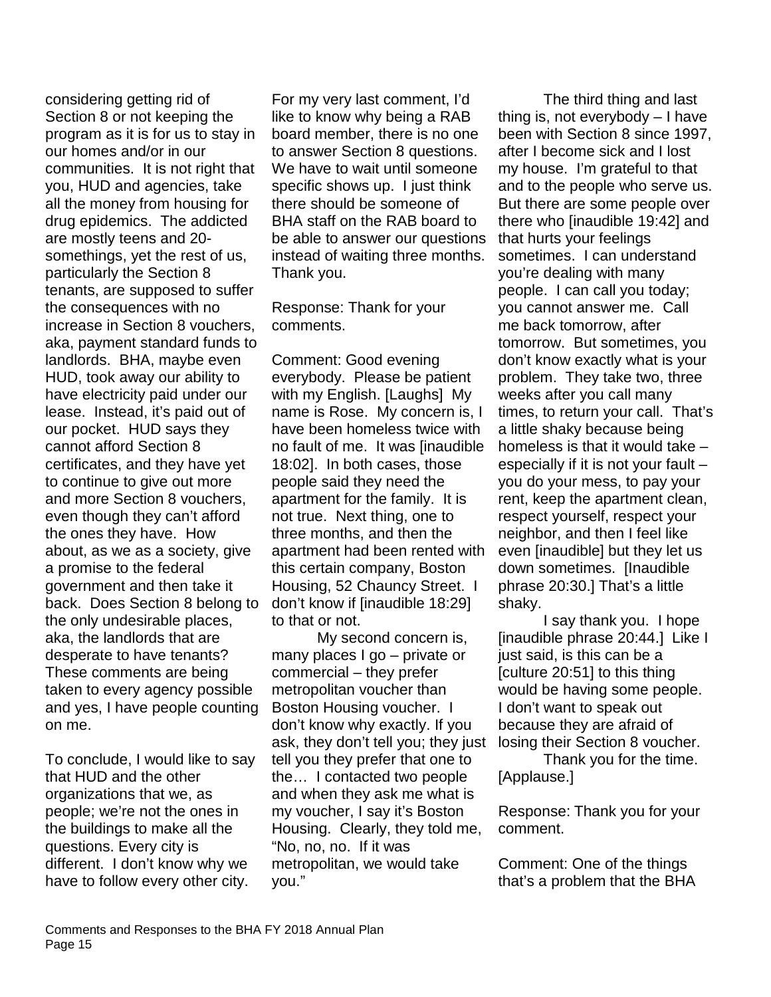considering getting rid of Section 8 or not keeping the program as it is for us to stay in our homes and/or in our communities. It is not right that you, HUD and agencies, take all the money from housing for drug epidemics. The addicted are mostly teens and 20 somethings, yet the rest of us, particularly the Section 8 tenants, are supposed to suffer the consequences with no increase in Section 8 vouchers, aka, payment standard funds to landlords. BHA, maybe even HUD, took away our ability to have electricity paid under our lease. Instead, it's paid out of our pocket. HUD says they cannot afford Section 8 certificates, and they have yet to continue to give out more and more Section 8 vouchers, even though they can't afford the ones they have. How about, as we as a society, give a promise to the federal government and then take it back. Does Section 8 belong to the only undesirable places, aka, the landlords that are desperate to have tenants? These comments are being taken to every agency possible and yes, I have people counting on me.

To conclude, I would like to say that HUD and the other organizations that we, as people; we're not the ones in the buildings to make all the questions. Every city is different. I don't know why we have to follow every other city.

For my very last comment, I'd like to know why being a RAB board member, there is no one to answer Section 8 questions. We have to wait until someone specific shows up. I just think there should be someone of BHA staff on the RAB board to be able to answer our questions instead of waiting three months. Thank you.

Response: Thank for your comments.

Comment: Good evening everybody. Please be patient with my English. [Laughs] My name is Rose. My concern is, I have been homeless twice with no fault of me. It was [inaudible 18:02]. In both cases, those people said they need the apartment for the family. It is not true. Next thing, one to three months, and then the apartment had been rented with this certain company, Boston Housing, 52 Chauncy Street. I don't know if [inaudible 18:29] to that or not.

My second concern is, many places I go – private or commercial – they prefer metropolitan voucher than Boston Housing voucher. I don't know why exactly. If you ask, they don't tell you; they just tell you they prefer that one to the… I contacted two people and when they ask me what is my voucher, I say it's Boston Housing. Clearly, they told me, "No, no, no. If it was metropolitan, we would take you."

The third thing and last thing is, not everybody – I have been with Section 8 since 1997, after I become sick and I lost my house. I'm grateful to that and to the people who serve us. But there are some people over there who [inaudible 19:42] and that hurts your feelings sometimes. I can understand you're dealing with many people. I can call you today; you cannot answer me. Call me back tomorrow, after tomorrow. But sometimes, you don't know exactly what is your problem. They take two, three weeks after you call many times, to return your call. That's a little shaky because being homeless is that it would take – especially if it is not your fault – you do your mess, to pay your rent, keep the apartment clean, respect yourself, respect your neighbor, and then I feel like even [inaudible] but they let us down sometimes. [Inaudible phrase 20:30.] That's a little shaky.

I say thank you. I hope [inaudible phrase 20:44.] Like I just said, is this can be a [culture 20:51] to this thing would be having some people. I don't want to speak out because they are afraid of losing their Section 8 voucher.

Thank you for the time. [Applause.]

Response: Thank you for your comment.

Comment: One of the things that's a problem that the BHA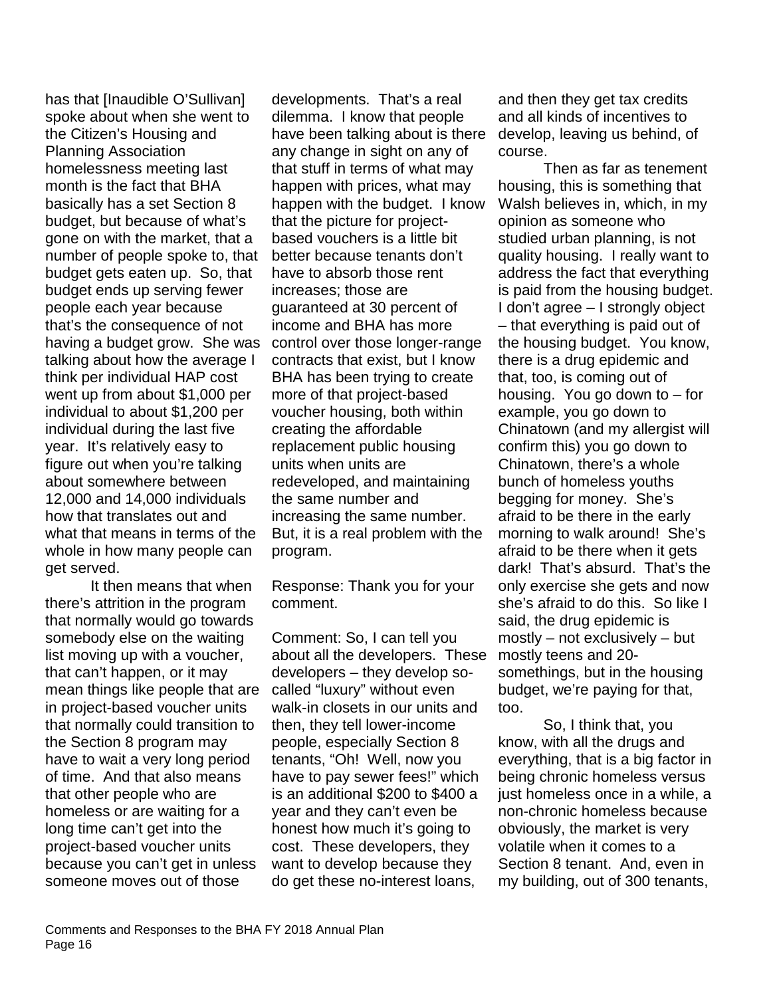has that [Inaudible O'Sullivan] spoke about when she went to the Citizen's Housing and Planning Association homelessness meeting last month is the fact that BHA basically has a set Section 8 budget, but because of what's gone on with the market, that a number of people spoke to, that budget gets eaten up. So, that budget ends up serving fewer people each year because that's the consequence of not having a budget grow. She was talking about how the average I think per individual HAP cost went up from about \$1,000 per individual to about \$1,200 per individual during the last five year. It's relatively easy to figure out when you're talking about somewhere between 12,000 and 14,000 individuals how that translates out and what that means in terms of the whole in how many people can get served.

It then means that when there's attrition in the program that normally would go towards somebody else on the waiting list moving up with a voucher, that can't happen, or it may mean things like people that are in project-based voucher units that normally could transition to the Section 8 program may have to wait a very long period of time. And that also means that other people who are homeless or are waiting for a long time can't get into the project-based voucher units because you can't get in unless someone moves out of those

developments. That's a real dilemma. I know that people have been talking about is there any change in sight on any of that stuff in terms of what may happen with prices, what may happen with the budget. I know that the picture for projectbased vouchers is a little bit better because tenants don't have to absorb those rent increases; those are guaranteed at 30 percent of income and BHA has more control over those longer-range contracts that exist, but I know BHA has been trying to create more of that project-based voucher housing, both within creating the affordable replacement public housing units when units are redeveloped, and maintaining the same number and increasing the same number. But, it is a real problem with the program.

Response: Thank you for your comment.

Comment: So, I can tell you about all the developers. These developers – they develop socalled "luxury" without even walk-in closets in our units and then, they tell lower-income people, especially Section 8 tenants, "Oh! Well, now you have to pay sewer fees!" which is an additional \$200 to \$400 a year and they can't even be honest how much it's going to cost. These developers, they want to develop because they do get these no-interest loans,

and then they get tax credits and all kinds of incentives to develop, leaving us behind, of course.

Then as far as tenement housing, this is something that Walsh believes in, which, in my opinion as someone who studied urban planning, is not quality housing. I really want to address the fact that everything is paid from the housing budget. I don't agree – I strongly object – that everything is paid out of the housing budget. You know, there is a drug epidemic and that, too, is coming out of housing. You go down to – for example, you go down to Chinatown (and my allergist will confirm this) you go down to Chinatown, there's a whole bunch of homeless youths begging for money. She's afraid to be there in the early morning to walk around! She's afraid to be there when it gets dark! That's absurd. That's the only exercise she gets and now she's afraid to do this. So like I said, the drug epidemic is mostly – not exclusively – but mostly teens and 20 somethings, but in the housing budget, we're paying for that, too.

So, I think that, you know, with all the drugs and everything, that is a big factor in being chronic homeless versus just homeless once in a while, a non-chronic homeless because obviously, the market is very volatile when it comes to a Section 8 tenant. And, even in my building, out of 300 tenants,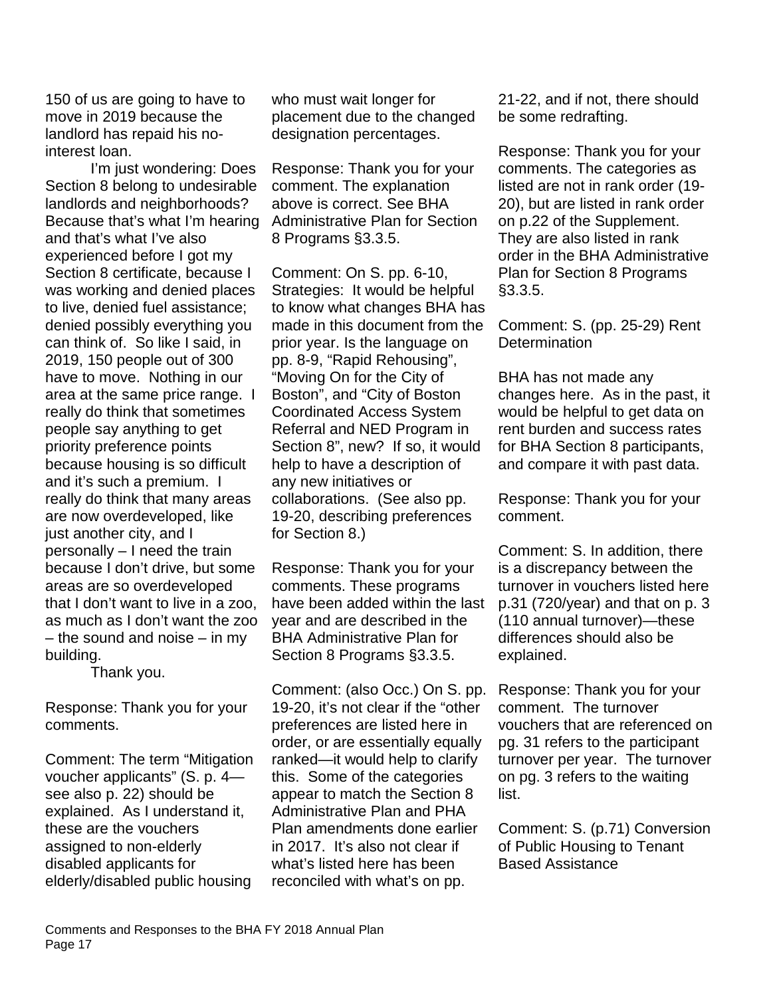150 of us are going to have to move in 2019 because the landlord has repaid his nointerest loan.

I'm just wondering: Does Section 8 belong to undesirable landlords and neighborhoods? Because that's what I'm hearing and that's what I've also experienced before I got my Section 8 certificate, because I was working and denied places to live, denied fuel assistance; denied possibly everything you can think of. So like I said, in 2019, 150 people out of 300 have to move. Nothing in our area at the same price range. I really do think that sometimes people say anything to get priority preference points because housing is so difficult and it's such a premium. I really do think that many areas are now overdeveloped, like just another city, and I personally – I need the train because I don't drive, but some areas are so overdeveloped that I don't want to live in a zoo, as much as I don't want the zoo – the sound and noise – in my building.

Thank you.

Response: Thank you for your comments.

Comment: The term "Mitigation voucher applicants" (S. p. 4 see also p. 22) should be explained. As I understand it, these are the vouchers assigned to non-elderly disabled applicants for elderly/disabled public housing

who must wait longer for placement due to the changed designation percentages.

Response: Thank you for your comment. The explanation above is correct. See BHA Administrative Plan for Section 8 Programs §3.3.5.

Comment: On S. pp. 6-10, Strategies: It would be helpful to know what changes BHA has made in this document from the prior year. Is the language on pp. 8-9, "Rapid Rehousing", "Moving On for the City of Boston", and "City of Boston Coordinated Access System Referral and NED Program in Section 8", new? If so, it would help to have a description of any new initiatives or collaborations. (See also pp. 19-20, describing preferences for Section 8.)

Response: Thank you for your comments. These programs have been added within the last year and are described in the BHA Administrative Plan for Section 8 Programs §3.3.5.

Comment: (also Occ.) On S. pp. 19-20, it's not clear if the "other preferences are listed here in order, or are essentially equally ranked—it would help to clarify this. Some of the categories appear to match the Section 8 Administrative Plan and PHA Plan amendments done earlier in 2017. It's also not clear if what's listed here has been reconciled with what's on pp.

21-22, and if not, there should be some redrafting.

Response: Thank you for your comments. The categories as listed are not in rank order (19- 20), but are listed in rank order on p.22 of the Supplement. They are also listed in rank order in the BHA Administrative Plan for Section 8 Programs §3.3.5.

Comment: S. (pp. 25-29) Rent **Determination** 

BHA has not made any changes here. As in the past, it would be helpful to get data on rent burden and success rates for BHA Section 8 participants, and compare it with past data.

Response: Thank you for your comment.

Comment: S. In addition, there is a discrepancy between the turnover in vouchers listed here p.31 (720/year) and that on p. 3 (110 annual turnover)—these differences should also be explained.

Response: Thank you for your comment. The turnover vouchers that are referenced on pg. 31 refers to the participant turnover per year. The turnover on pg. 3 refers to the waiting list.

Comment: S. (p.71) Conversion of Public Housing to Tenant Based Assistance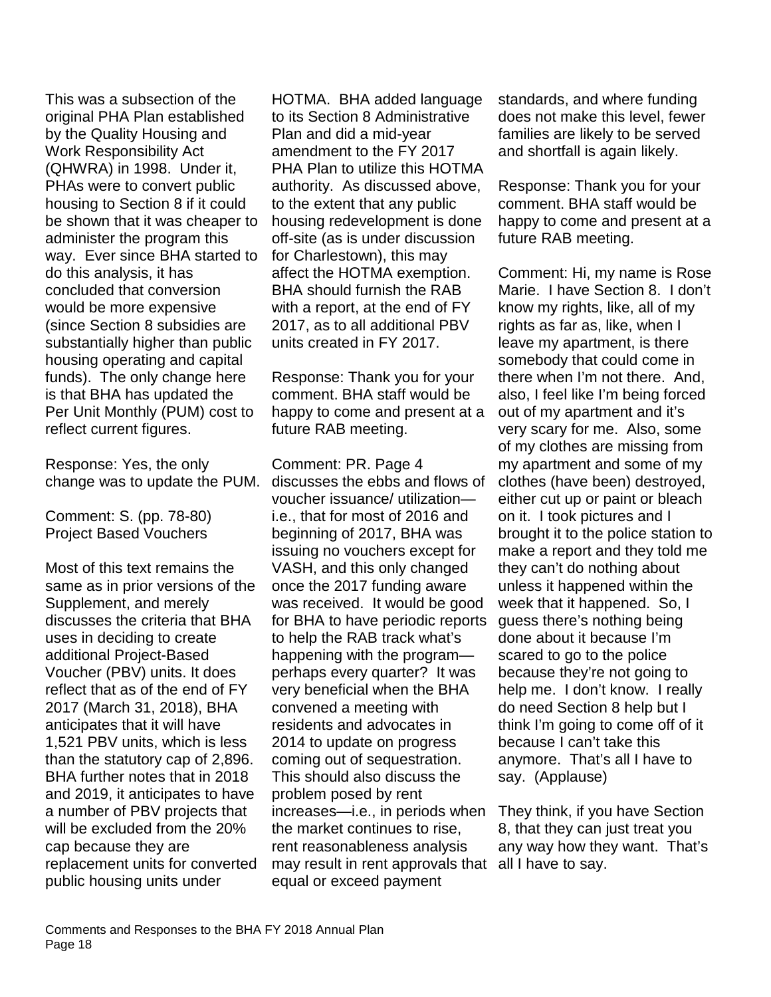This was a subsection of the original PHA Plan established by the Quality Housing and Work Responsibility Act (QHWRA) in 1998. Under it, PHAs were to convert public housing to Section 8 if it could be shown that it was cheaper to administer the program this way. Ever since BHA started to do this analysis, it has concluded that conversion would be more expensive (since Section 8 subsidies are substantially higher than public housing operating and capital funds). The only change here is that BHA has updated the Per Unit Monthly (PUM) cost to reflect current figures.

Response: Yes, the only change was to update the PUM.

Comment: S. (pp. 78-80) Project Based Vouchers

Most of this text remains the same as in prior versions of the Supplement, and merely discusses the criteria that BHA uses in deciding to create additional Project-Based Voucher (PBV) units. It does reflect that as of the end of FY 2017 (March 31, 2018), BHA anticipates that it will have 1,521 PBV units, which is less than the statutory cap of 2,896. BHA further notes that in 2018 and 2019, it anticipates to have a number of PBV projects that will be excluded from the 20% cap because they are replacement units for converted public housing units under

HOTMA. BHA added language to its Section 8 Administrative Plan and did a mid-year amendment to the FY 2017 PHA Plan to utilize this HOTMA authority. As discussed above, to the extent that any public housing redevelopment is done off-site (as is under discussion for Charlestown), this may affect the HOTMA exemption. BHA should furnish the RAB with a report, at the end of FY 2017, as to all additional PBV units created in FY 2017.

Response: Thank you for your comment. BHA staff would be happy to come and present at a future RAB meeting.

Comment: PR. Page 4 discusses the ebbs and flows of voucher issuance/ utilization i.e., that for most of 2016 and beginning of 2017, BHA was issuing no vouchers except for VASH, and this only changed once the 2017 funding aware was received. It would be good for BHA to have periodic reports to help the RAB track what's happening with the program perhaps every quarter? It was very beneficial when the BHA convened a meeting with residents and advocates in 2014 to update on progress coming out of sequestration. This should also discuss the problem posed by rent increases—i.e., in periods when the market continues to rise, rent reasonableness analysis may result in rent approvals that all I have to say. equal or exceed payment

standards, and where funding does not make this level, fewer families are likely to be served and shortfall is again likely.

Response: Thank you for your comment. BHA staff would be happy to come and present at a future RAB meeting.

Comment: Hi, my name is Rose Marie. I have Section 8. I don't know my rights, like, all of my rights as far as, like, when I leave my apartment, is there somebody that could come in there when I'm not there. And, also, I feel like I'm being forced out of my apartment and it's very scary for me. Also, some of my clothes are missing from my apartment and some of my clothes (have been) destroyed, either cut up or paint or bleach on it. I took pictures and I brought it to the police station to make a report and they told me they can't do nothing about unless it happened within the week that it happened. So, I guess there's nothing being done about it because I'm scared to go to the police because they're not going to help me. I don't know. I really do need Section 8 help but I think I'm going to come off of it because I can't take this anymore. That's all I have to say. (Applause)

They think, if you have Section 8, that they can just treat you any way how they want. That's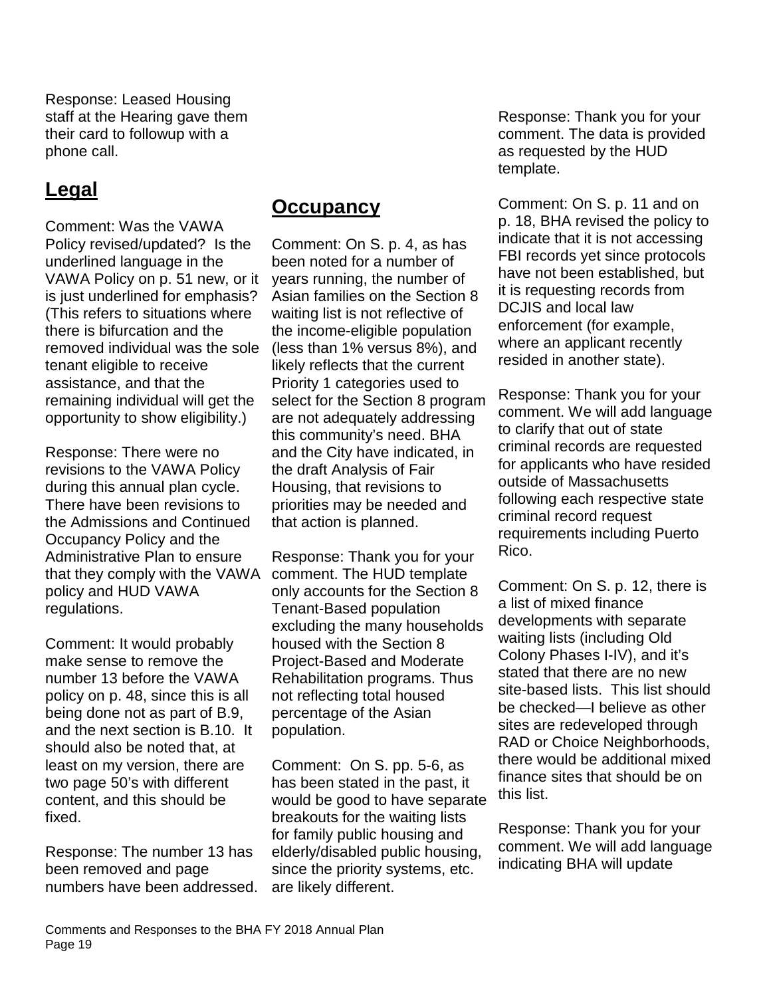Response: Leased Housing staff at the Hearing gave them their card to followup with a phone call.

# **Legal**

Comment: Was the VAWA Policy revised/updated? Is the underlined language in the VAWA Policy on p. 51 new, or it is just underlined for emphasis? (This refers to situations where there is bifurcation and the removed individual was the sole tenant eligible to receive assistance, and that the remaining individual will get the opportunity to show eligibility.)

Response: There were no revisions to the VAWA Policy during this annual plan cycle. There have been revisions to the Admissions and Continued Occupancy Policy and the Administrative Plan to ensure that they comply with the VAWA policy and HUD VAWA regulations.

Comment: It would probably make sense to remove the number 13 before the VAWA policy on p. 48, since this is all being done not as part of B.9, and the next section is B.10. It should also be noted that, at least on my version, there are two page 50's with different content, and this should be fixed.

Response: The number 13 has been removed and page numbers have been addressed.

#### **Occupancy**

Comment: On S. p. 4, as has been noted for a number of years running, the number of Asian families on the Section 8 waiting list is not reflective of the income-eligible population (less than 1% versus 8%), and likely reflects that the current Priority 1 categories used to select for the Section 8 program are not adequately addressing this community's need. BHA and the City have indicated, in the draft Analysis of Fair Housing, that revisions to priorities may be needed and that action is planned.

Response: Thank you for your comment. The HUD template only accounts for the Section 8 Tenant-Based population excluding the many households housed with the Section 8 Project-Based and Moderate Rehabilitation programs. Thus not reflecting total housed percentage of the Asian population.

Comment: On S. pp. 5-6, as has been stated in the past, it would be good to have separate breakouts for the waiting lists for family public housing and elderly/disabled public housing, since the priority systems, etc. are likely different.

Response: Thank you for your comment. The data is provided as requested by the HUD template.

Comment: On S. p. 11 and on p. 18, BHA revised the policy to indicate that it is not accessing FBI records yet since protocols have not been established, but it is requesting records from DCJIS and local law enforcement (for example, where an applicant recently resided in another state).

Response: Thank you for your comment. We will add language to clarify that out of state criminal records are requested for applicants who have resided outside of Massachusetts following each respective state criminal record request requirements including Puerto Rico.

Comment: On S. p. 12, there is a list of mixed finance developments with separate waiting lists (including Old Colony Phases I-IV), and it's stated that there are no new site-based lists. This list should be checked—I believe as other sites are redeveloped through RAD or Choice Neighborhoods, there would be additional mixed finance sites that should be on this list.

Response: Thank you for your comment. We will add language indicating BHA will update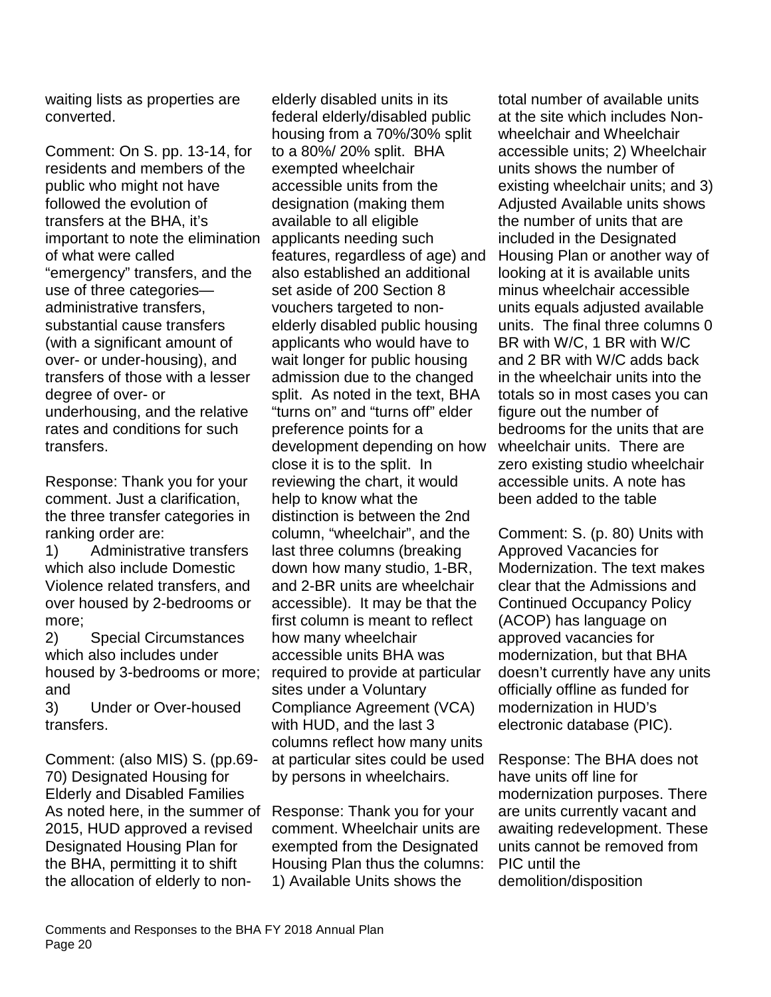waiting lists as properties are converted.

Comment: On S. pp. 13-14, for residents and members of the public who might not have followed the evolution of transfers at the BHA, it's important to note the elimination of what were called "emergency" transfers, and the use of three categories administrative transfers, substantial cause transfers (with a significant amount of over- or under-housing), and transfers of those with a lesser degree of over- or underhousing, and the relative rates and conditions for such transfers.

Response: Thank you for your comment. Just a clarification, the three transfer categories in ranking order are:

1) Administrative transfers which also include Domestic Violence related transfers, and over housed by 2-bedrooms or more;

2) Special Circumstances which also includes under housed by 3-bedrooms or more; and

3) Under or Over-housed transfers.

Comment: (also MIS) S. (pp.69- 70) Designated Housing for Elderly and Disabled Families As noted here, in the summer of Response: Thank you for your 2015, HUD approved a revised Designated Housing Plan for the BHA, permitting it to shift the allocation of elderly to non-

elderly disabled units in its federal elderly/disabled public housing from a 70%/30% split to a 80%/ 20% split. BHA exempted wheelchair accessible units from the designation (making them available to all eligible applicants needing such features, regardless of age) and also established an additional set aside of 200 Section 8 vouchers targeted to nonelderly disabled public housing applicants who would have to wait longer for public housing admission due to the changed split. As noted in the text, BHA "turns on" and "turns off" elder preference points for a development depending on how close it is to the split. In reviewing the chart, it would help to know what the distinction is between the 2nd column, "wheelchair", and the last three columns (breaking down how many studio, 1-BR, and 2-BR units are wheelchair accessible). It may be that the first column is meant to reflect how many wheelchair accessible units BHA was required to provide at particular sites under a Voluntary Compliance Agreement (VCA) with HUD, and the last 3 columns reflect how many units at particular sites could be used by persons in wheelchairs.

comment. Wheelchair units are exempted from the Designated Housing Plan thus the columns: 1) Available Units shows the

total number of available units at the site which includes Nonwheelchair and Wheelchair accessible units; 2) Wheelchair units shows the number of existing wheelchair units; and 3) Adjusted Available units shows the number of units that are included in the Designated Housing Plan or another way of looking at it is available units minus wheelchair accessible units equals adjusted available units. The final three columns 0 BR with W/C, 1 BR with W/C and 2 BR with W/C adds back in the wheelchair units into the totals so in most cases you can figure out the number of bedrooms for the units that are wheelchair units. There are zero existing studio wheelchair accessible units. A note has been added to the table

Comment: S. (p. 80) Units with Approved Vacancies for Modernization. The text makes clear that the Admissions and Continued Occupancy Policy (ACOP) has language on approved vacancies for modernization, but that BHA doesn't currently have any units officially offline as funded for modernization in HUD's electronic database (PIC).

Response: The BHA does not have units off line for modernization purposes. There are units currently vacant and awaiting redevelopment. These units cannot be removed from PIC until the demolition/disposition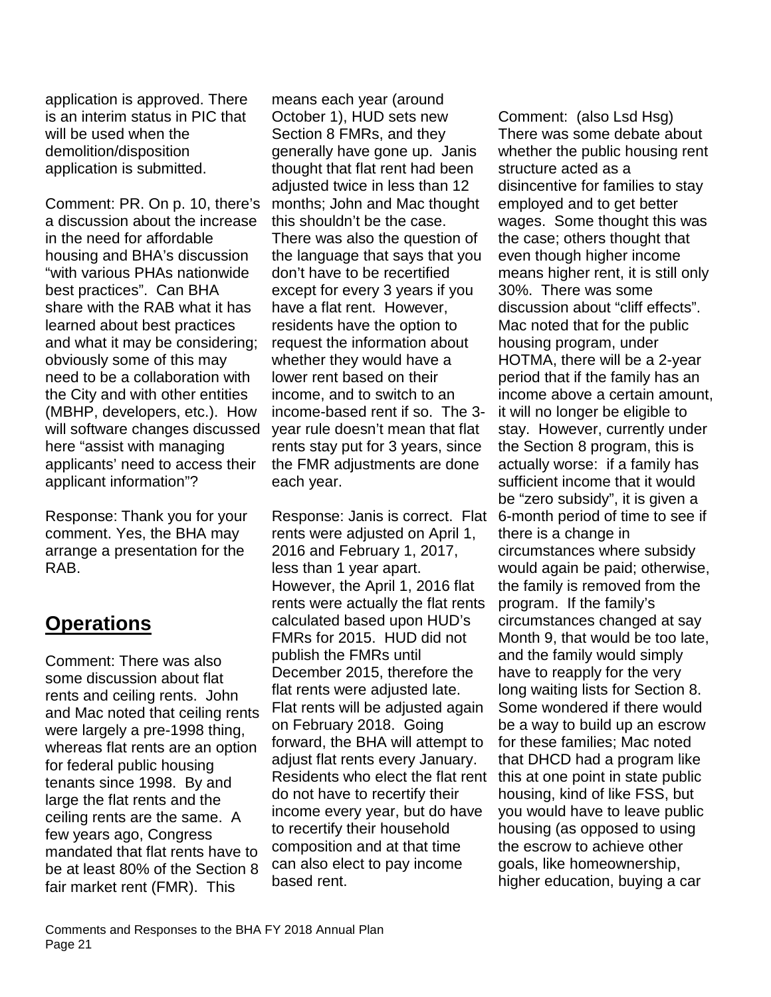application is approved. There is an interim status in PIC that will be used when the demolition/disposition application is submitted.

Comment: PR. On p. 10, there's a discussion about the increase in the need for affordable housing and BHA's discussion "with various PHAs nationwide best practices". Can BHA share with the RAB what it has learned about best practices and what it may be considering; obviously some of this may need to be a collaboration with the City and with other entities (MBHP, developers, etc.). How will software changes discussed here "assist with managing applicants' need to access their applicant information"?

Response: Thank you for your comment. Yes, the BHA may arrange a presentation for the RAB.

# **Operations**

Comment: There was also some discussion about flat rents and ceiling rents. John and Mac noted that ceiling rents were largely a pre-1998 thing, whereas flat rents are an option for federal public housing tenants since 1998. By and large the flat rents and the ceiling rents are the same. A few years ago, Congress mandated that flat rents have to be at least 80% of the Section 8 fair market rent (FMR). This

means each year (around October 1), HUD sets new Section 8 FMRs, and they generally have gone up. Janis thought that flat rent had been adjusted twice in less than 12 months; John and Mac thought this shouldn't be the case. There was also the question of the language that says that you don't have to be recertified except for every 3 years if you have a flat rent. However, residents have the option to request the information about whether they would have a lower rent based on their income, and to switch to an income-based rent if so. The 3 year rule doesn't mean that flat rents stay put for 3 years, since the FMR adjustments are done each year.

Response: Janis is correct. Flat rents were adjusted on April 1, 2016 and February 1, 2017, less than 1 year apart. However, the April 1, 2016 flat rents were actually the flat rents calculated based upon HUD's FMRs for 2015. HUD did not publish the FMRs until December 2015, therefore the flat rents were adjusted late. Flat rents will be adjusted again on February 2018. Going forward, the BHA will attempt to adjust flat rents every January. Residents who elect the flat rent do not have to recertify their income every year, but do have to recertify their household composition and at that time can also elect to pay income based rent.

Comment: (also Lsd Hsg) There was some debate about whether the public housing rent structure acted as a disincentive for families to stay employed and to get better wages. Some thought this was the case; others thought that even though higher income means higher rent, it is still only 30%. There was some discussion about "cliff effects". Mac noted that for the public housing program, under HOTMA, there will be a 2-year period that if the family has an income above a certain amount, it will no longer be eligible to stay. However, currently under the Section 8 program, this is actually worse: if a family has sufficient income that it would be "zero subsidy", it is given a 6-month period of time to see if there is a change in circumstances where subsidy would again be paid; otherwise, the family is removed from the program. If the family's circumstances changed at say Month 9, that would be too late, and the family would simply have to reapply for the very long waiting lists for Section 8. Some wondered if there would be a way to build up an escrow for these families; Mac noted that DHCD had a program like this at one point in state public housing, kind of like FSS, but you would have to leave public housing (as opposed to using the escrow to achieve other goals, like homeownership, higher education, buying a car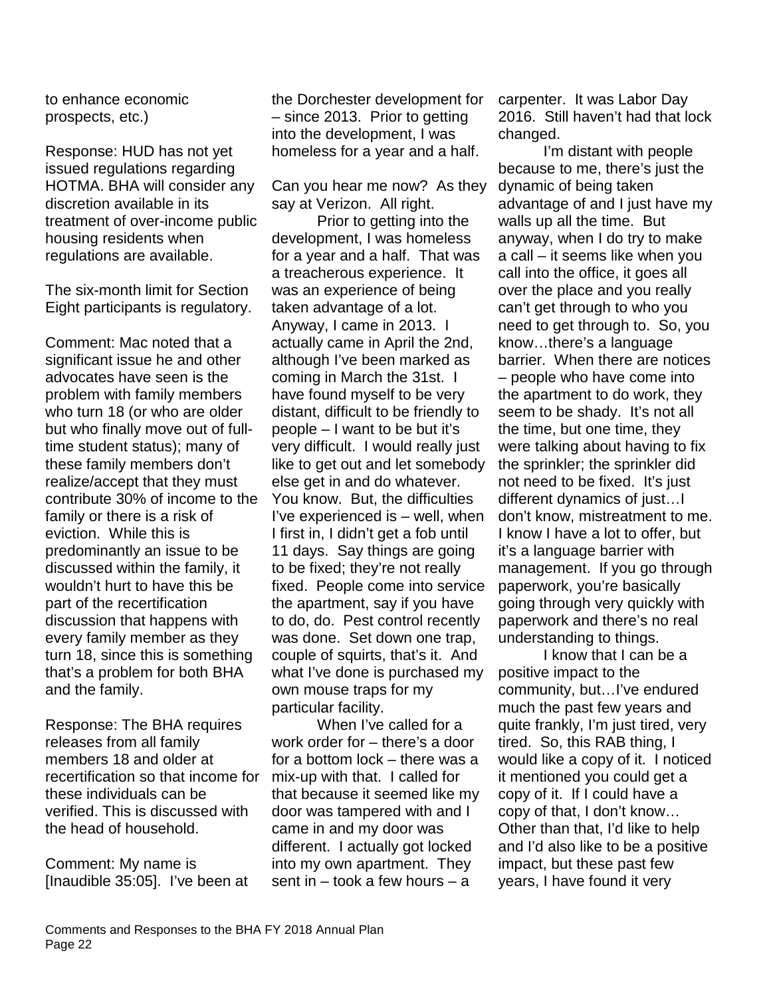to enhance economic prospects, etc.)

Response: HUD has not yet issued regulations regarding HOTMA. BHA will consider any discretion available in its treatment of over-income public housing residents when regulations are available.

The six-month limit for Section Eight participants is regulatory.

Comment: Mac noted that a significant issue he and other advocates have seen is the problem with family members who turn 18 (or who are older but who finally move out of fulltime student status); many of these family members don't realize/accept that they must contribute 30% of income to the family or there is a risk of eviction. While this is predominantly an issue to be discussed within the family, it wouldn't hurt to have this be part of the recertification discussion that happens with every family member as they turn 18, since this is something that's a problem for both BHA and the family.

Response: The BHA requires releases from all family members 18 and older at recertification so that income for these individuals can be verified. This is discussed with the head of household.

Comment: My name is [Inaudible 35:05]. I've been at

the Dorchester development for – since 2013. Prior to getting into the development, I was homeless for a year and a half.

Can you hear me now? As they say at Verizon. All right.

Prior to getting into the development, I was homeless for a year and a half. That was a treacherous experience. It was an experience of being taken advantage of a lot. Anyway, I came in 2013. I actually came in April the 2nd, although I've been marked as coming in March the 31st. I have found myself to be very distant, difficult to be friendly to people – I want to be but it's very difficult. I would really just like to get out and let somebody else get in and do whatever. You know. But, the difficulties I've experienced is – well, when I first in, I didn't get a fob until 11 days. Say things are going to be fixed; they're not really fixed. People come into service the apartment, say if you have to do, do. Pest control recently was done. Set down one trap, couple of squirts, that's it. And what I've done is purchased my own mouse traps for my particular facility.

When I've called for a work order for – there's a door for a bottom lock – there was a mix-up with that. I called for that because it seemed like my door was tampered with and I came in and my door was different. I actually got locked into my own apartment. They sent in – took a few hours – a

carpenter. It was Labor Day 2016. Still haven't had that lock changed.

I'm distant with people because to me, there's just the dynamic of being taken advantage of and I just have my walls up all the time. But anyway, when I do try to make a call – it seems like when you call into the office, it goes all over the place and you really can't get through to who you need to get through to. So, you know…there's a language barrier. When there are notices – people who have come into the apartment to do work, they seem to be shady. It's not all the time, but one time, they were talking about having to fix the sprinkler; the sprinkler did not need to be fixed. It's just different dynamics of just…I don't know, mistreatment to me. I know I have a lot to offer, but it's a language barrier with management. If you go through paperwork, you're basically going through very quickly with paperwork and there's no real understanding to things.

I know that I can be a positive impact to the community, but…I've endured much the past few years and quite frankly, I'm just tired, very tired. So, this RAB thing, I would like a copy of it. I noticed it mentioned you could get a copy of it. If I could have a copy of that, I don't know… Other than that, I'd like to help and I'd also like to be a positive impact, but these past few years, I have found it very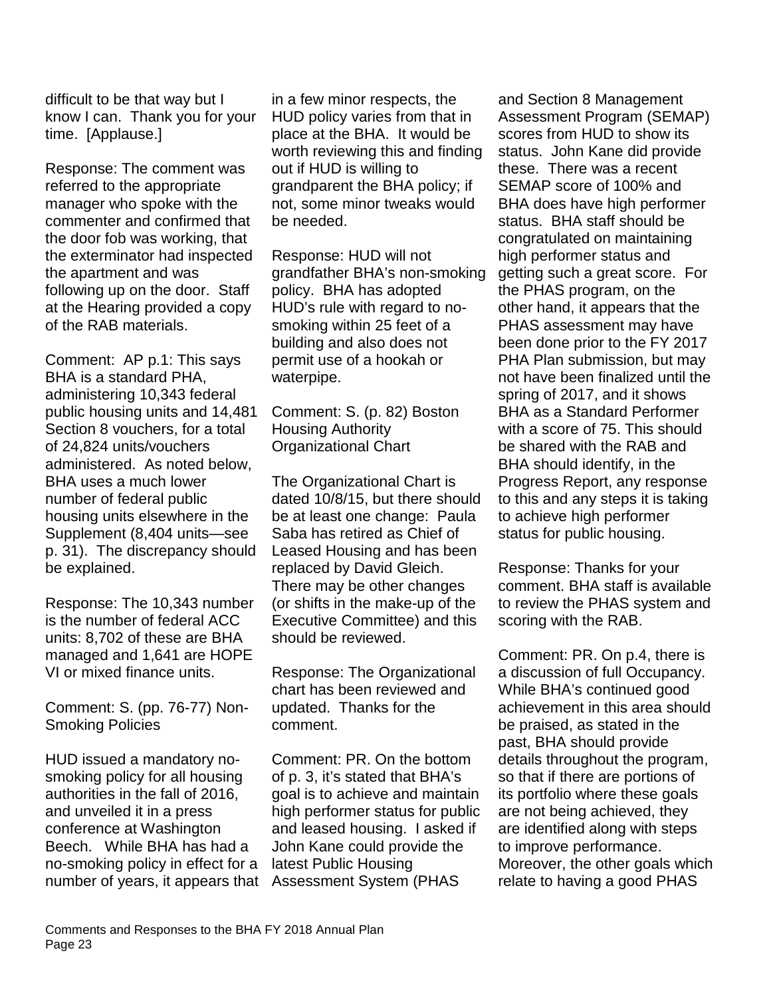difficult to be that way but I know I can. Thank you for your time. [Applause.]

Response: The comment was referred to the appropriate manager who spoke with the commenter and confirmed that the door fob was working, that the exterminator had inspected the apartment and was following up on the door. Staff at the Hearing provided a copy of the RAB materials.

Comment: AP p.1: This says BHA is a standard PHA, administering 10,343 federal public housing units and 14,481 Section 8 vouchers, for a total of 24,824 units/vouchers administered. As noted below, BHA uses a much lower number of federal public housing units elsewhere in the Supplement (8,404 units—see p. 31). The discrepancy should be explained.

Response: The 10,343 number is the number of federal ACC units: 8,702 of these are BHA managed and 1,641 are HOPE VI or mixed finance units.

Comment: S. (pp. 76-77) Non-Smoking Policies

HUD issued a mandatory nosmoking policy for all housing authorities in the fall of 2016, and unveiled it in a press conference at Washington Beech. While BHA has had a no-smoking policy in effect for a number of years, it appears that Assessment System (PHAS

in a few minor respects, the HUD policy varies from that in place at the BHA. It would be worth reviewing this and finding out if HUD is willing to grandparent the BHA policy; if not, some minor tweaks would be needed.

Response: HUD will not grandfather BHA's non-smoking policy. BHA has adopted HUD's rule with regard to nosmoking within 25 feet of a building and also does not permit use of a hookah or waterpipe.

Comment: S. (p. 82) Boston Housing Authority Organizational Chart

The Organizational Chart is dated 10/8/15, but there should be at least one change: Paula Saba has retired as Chief of Leased Housing and has been replaced by David Gleich. There may be other changes (or shifts in the make-up of the Executive Committee) and this should be reviewed.

Response: The Organizational chart has been reviewed and updated. Thanks for the comment.

Comment: PR. On the bottom of p. 3, it's stated that BHA's goal is to achieve and maintain high performer status for public and leased housing. I asked if John Kane could provide the latest Public Housing

and Section 8 Management Assessment Program (SEMAP) scores from HUD to show its status. John Kane did provide these. There was a recent SEMAP score of 100% and BHA does have high performer status. BHA staff should be congratulated on maintaining high performer status and getting such a great score. For the PHAS program, on the other hand, it appears that the PHAS assessment may have been done prior to the FY 2017 PHA Plan submission, but may not have been finalized until the spring of 2017, and it shows BHA as a Standard Performer with a score of 75. This should be shared with the RAB and BHA should identify, in the Progress Report, any response to this and any steps it is taking to achieve high performer status for public housing.

Response: Thanks for your comment. BHA staff is available to review the PHAS system and scoring with the RAB.

Comment: PR. On p.4, there is a discussion of full Occupancy. While BHA's continued good achievement in this area should be praised, as stated in the past, BHA should provide details throughout the program, so that if there are portions of its portfolio where these goals are not being achieved, they are identified along with steps to improve performance. Moreover, the other goals which relate to having a good PHAS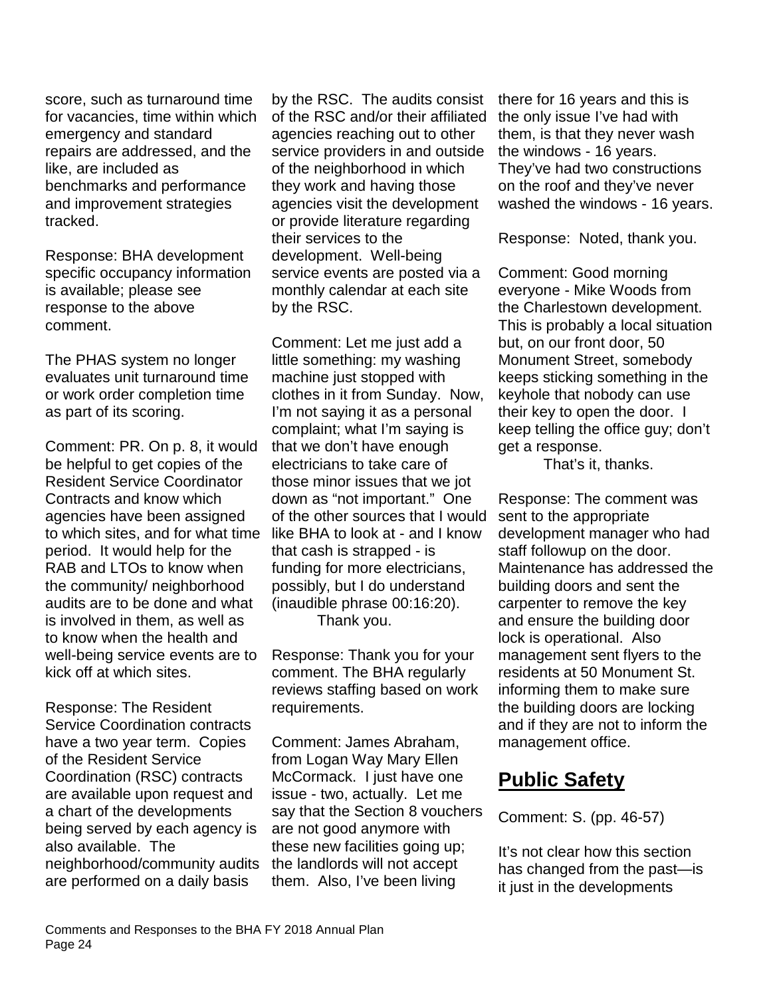score, such as turnaround time for vacancies, time within which emergency and standard repairs are addressed, and the like, are included as benchmarks and performance and improvement strategies tracked.

Response: BHA development specific occupancy information is available; please see response to the above comment.

The PHAS system no longer evaluates unit turnaround time or work order completion time as part of its scoring.

Comment: PR. On p. 8, it would be helpful to get copies of the Resident Service Coordinator Contracts and know which agencies have been assigned to which sites, and for what time period. It would help for the RAB and LTOs to know when the community/ neighborhood audits are to be done and what is involved in them, as well as to know when the health and well-being service events are to kick off at which sites.

Response: The Resident Service Coordination contracts have a two year term. Copies of the Resident Service Coordination (RSC) contracts are available upon request and a chart of the developments being served by each agency is also available. The neighborhood/community audits are performed on a daily basis

by the RSC. The audits consist of the RSC and/or their affiliated agencies reaching out to other service providers in and outside of the neighborhood in which they work and having those agencies visit the development or provide literature regarding their services to the development. Well-being service events are posted via a monthly calendar at each site by the RSC.

Comment: Let me just add a little something: my washing machine just stopped with clothes in it from Sunday. Now, I'm not saying it as a personal complaint; what I'm saying is that we don't have enough electricians to take care of those minor issues that we jot down as "not important." One of the other sources that I would like BHA to look at - and I know that cash is strapped - is funding for more electricians, possibly, but I do understand (inaudible phrase 00:16:20). Thank you.

Response: Thank you for your comment. The BHA regularly reviews staffing based on work requirements.

Comment: James Abraham, from Logan Way Mary Ellen McCormack. I just have one issue - two, actually. Let me say that the Section 8 vouchers are not good anymore with these new facilities going up; the landlords will not accept them. Also, I've been living

there for 16 years and this is the only issue I've had with them, is that they never wash the windows - 16 years. They've had two constructions on the roof and they've never washed the windows - 16 years.

Response: Noted, thank you.

Comment: Good morning everyone - Mike Woods from the Charlestown development. This is probably a local situation but, on our front door, 50 Monument Street, somebody keeps sticking something in the keyhole that nobody can use their key to open the door. I keep telling the office guy; don't get a response.

That's it, thanks.

Response: The comment was sent to the appropriate development manager who had staff followup on the door. Maintenance has addressed the building doors and sent the carpenter to remove the key and ensure the building door lock is operational. Also management sent flyers to the residents at 50 Monument St. informing them to make sure the building doors are locking and if they are not to inform the management office.

# **Public Safety**

Comment: S. (pp. 46-57)

It's not clear how this section has changed from the past—is it just in the developments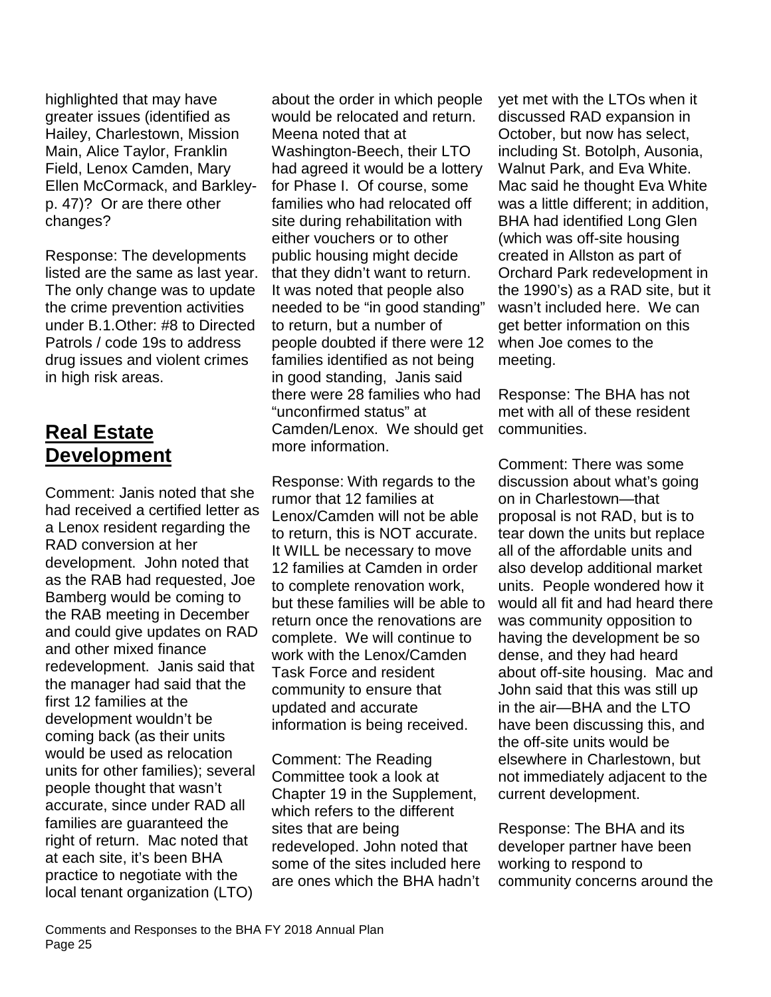highlighted that may have greater issues (identified as Hailey, Charlestown, Mission Main, Alice Taylor, Franklin Field, Lenox Camden, Mary Ellen McCormack, and Barkleyp. 47)? Or are there other changes?

Response: The developments listed are the same as last year. The only change was to update the crime prevention activities under B.1.Other: #8 to Directed Patrols / code 19s to address drug issues and violent crimes in high risk areas.

# **Real Estate Development**

Comment: Janis noted that she had received a certified letter as a Lenox resident regarding the RAD conversion at her development. John noted that as the RAB had requested, Joe Bamberg would be coming to the RAB meeting in December and could give updates on RAD and other mixed finance redevelopment. Janis said that the manager had said that the first 12 families at the development wouldn't be coming back (as their units would be used as relocation units for other families); several people thought that wasn't accurate, since under RAD all families are guaranteed the right of return. Mac noted that at each site, it's been BHA practice to negotiate with the local tenant organization (LTO)

about the order in which people would be relocated and return. Meena noted that at Washington-Beech, their LTO had agreed it would be a lottery for Phase I. Of course, some families who had relocated off site during rehabilitation with either vouchers or to other public housing might decide that they didn't want to return. It was noted that people also needed to be "in good standing" to return, but a number of people doubted if there were 12 families identified as not being in good standing, Janis said there were 28 families who had "unconfirmed status" at Camden/Lenox. We should get more information.

Response: With regards to the rumor that 12 families at Lenox/Camden will not be able to return, this is NOT accurate. It WILL be necessary to move 12 families at Camden in order to complete renovation work, but these families will be able to return once the renovations are complete. We will continue to work with the Lenox/Camden Task Force and resident community to ensure that updated and accurate information is being received.

Comment: The Reading Committee took a look at Chapter 19 in the Supplement, which refers to the different sites that are being redeveloped. John noted that some of the sites included here are ones which the BHA hadn't

yet met with the LTOs when it discussed RAD expansion in October, but now has select, including St. Botolph, Ausonia, Walnut Park, and Eva White. Mac said he thought Eva White was a little different; in addition, BHA had identified Long Glen (which was off-site housing created in Allston as part of Orchard Park redevelopment in the 1990's) as a RAD site, but it wasn't included here. We can get better information on this when Joe comes to the meeting.

Response: The BHA has not met with all of these resident communities.

Comment: There was some discussion about what's going on in Charlestown—that proposal is not RAD, but is to tear down the units but replace all of the affordable units and also develop additional market units. People wondered how it would all fit and had heard there was community opposition to having the development be so dense, and they had heard about off-site housing. Mac and John said that this was still up in the air—BHA and the LTO have been discussing this, and the off-site units would be elsewhere in Charlestown, but not immediately adjacent to the current development.

Response: The BHA and its developer partner have been working to respond to community concerns around the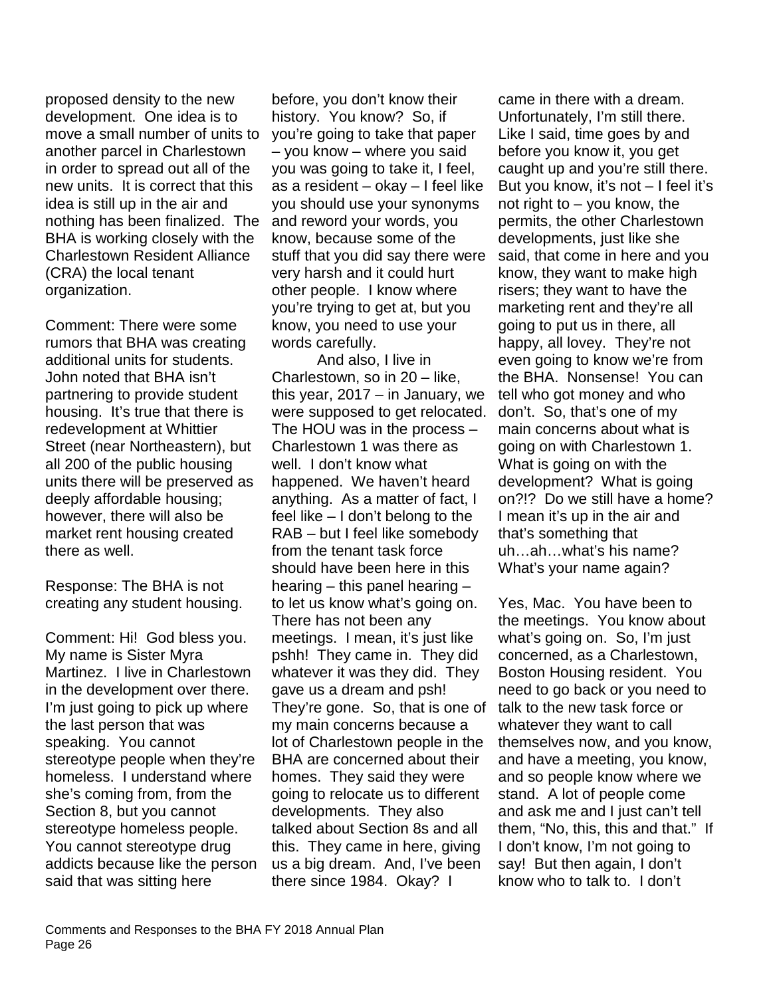proposed density to the new development. One idea is to move a small number of units to another parcel in Charlestown in order to spread out all of the new units. It is correct that this idea is still up in the air and nothing has been finalized. The BHA is working closely with the Charlestown Resident Alliance (CRA) the local tenant organization.

Comment: There were some rumors that BHA was creating additional units for students. John noted that BHA isn't partnering to provide student housing. It's true that there is redevelopment at Whittier Street (near Northeastern), but all 200 of the public housing units there will be preserved as deeply affordable housing; however, there will also be market rent housing created there as well.

Response: The BHA is not creating any student housing.

Comment: Hi! God bless you. My name is Sister Myra Martinez. I live in Charlestown in the development over there. I'm just going to pick up where the last person that was speaking. You cannot stereotype people when they're homeless. I understand where she's coming from, from the Section 8, but you cannot stereotype homeless people. You cannot stereotype drug addicts because like the person said that was sitting here

before, you don't know their history. You know? So, if you're going to take that paper – you know – where you said you was going to take it, I feel, as a resident – okay – I feel like you should use your synonyms and reword your words, you know, because some of the stuff that you did say there were very harsh and it could hurt other people. I know where you're trying to get at, but you know, you need to use your words carefully.

And also, I live in Charlestown, so in 20 – like, this year, 2017 – in January, we were supposed to get relocated. The HOU was in the process – Charlestown 1 was there as well. I don't know what happened. We haven't heard anything. As a matter of fact, I feel like – I don't belong to the RAB – but I feel like somebody from the tenant task force should have been here in this hearing – this panel hearing – to let us know what's going on. There has not been any meetings. I mean, it's just like pshh! They came in. They did whatever it was they did. They gave us a dream and psh! They're gone. So, that is one of my main concerns because a lot of Charlestown people in the BHA are concerned about their homes. They said they were going to relocate us to different developments. They also talked about Section 8s and all this. They came in here, giving us a big dream. And, I've been there since 1984. Okay? I

came in there with a dream. Unfortunately, I'm still there. Like I said, time goes by and before you know it, you get caught up and you're still there. But you know, it's not – I feel it's not right to  $-$  you know, the permits, the other Charlestown developments, just like she said, that come in here and you know, they want to make high risers; they want to have the marketing rent and they're all going to put us in there, all happy, all lovey. They're not even going to know we're from the BHA. Nonsense! You can tell who got money and who don't. So, that's one of my main concerns about what is going on with Charlestown 1. What is going on with the development? What is going on?!? Do we still have a home? I mean it's up in the air and that's something that uh…ah…what's his name? What's your name again?

Yes, Mac. You have been to the meetings. You know about what's going on. So, I'm just concerned, as a Charlestown, Boston Housing resident. You need to go back or you need to talk to the new task force or whatever they want to call themselves now, and you know, and have a meeting, you know, and so people know where we stand. A lot of people come and ask me and I just can't tell them, "No, this, this and that." If I don't know, I'm not going to say! But then again, I don't know who to talk to. I don't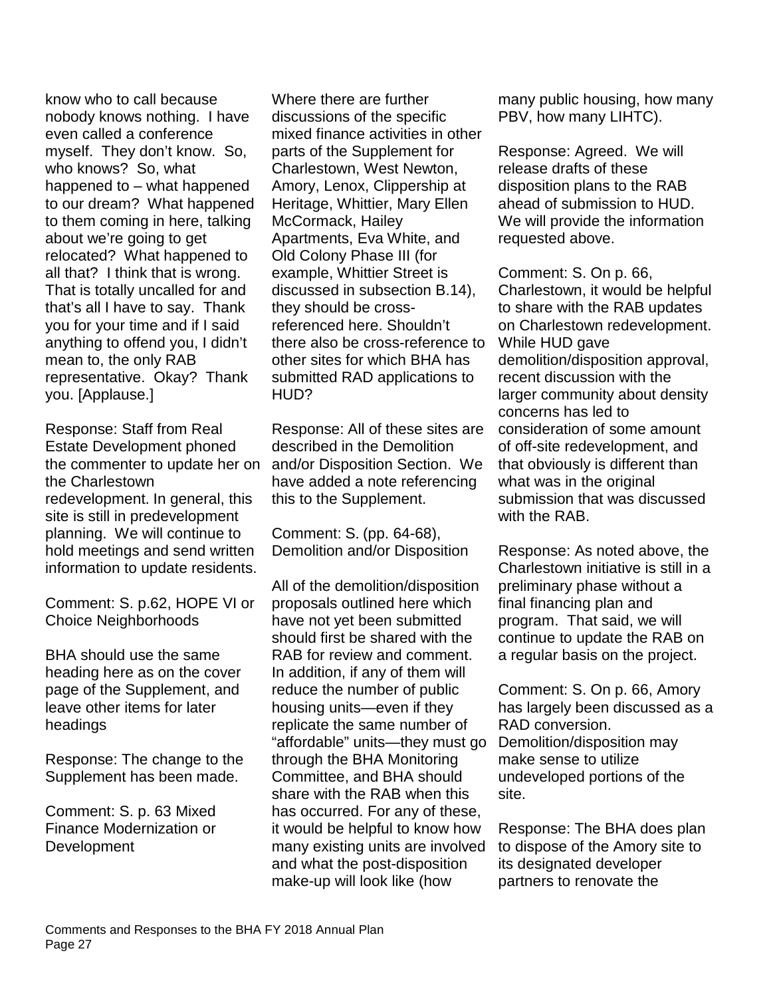know who to call because nobody knows nothing. I have even called a conference myself. They don't know. So, who knows? So, what happened to – what happened to our dream? What happened to them coming in here, talking about we're going to get relocated? What happened to all that? I think that is wrong. That is totally uncalled for and that's all I have to say. Thank you for your time and if I said anything to offend you, I didn't mean to, the only RAB representative. Okay? Thank you. [Applause.]

Response: Staff from Real Estate Development phoned the commenter to update her on the Charlestown redevelopment. In general, this site is still in predevelopment planning. We will continue to hold meetings and send written information to update residents.

Comment: S. p.62, HOPE VI or Choice Neighborhoods

BHA should use the same heading here as on the cover page of the Supplement, and leave other items for later headings

Response: The change to the Supplement has been made.

Comment: S. p. 63 Mixed Finance Modernization or **Development** 

Where there are further discussions of the specific mixed finance activities in other parts of the Supplement for Charlestown, West Newton, Amory, Lenox, Clippership at Heritage, Whittier, Mary Ellen McCormack, Hailey Apartments, Eva White, and Old Colony Phase III (for example, Whittier Street is discussed in subsection B.14), they should be crossreferenced here. Shouldn't there also be cross-reference to other sites for which BHA has submitted RAD applications to HUD?

Response: All of these sites are described in the Demolition and/or Disposition Section. We have added a note referencing this to the Supplement.

Comment: S. (pp. 64-68), Demolition and/or Disposition

All of the demolition/disposition proposals outlined here which have not yet been submitted should first be shared with the RAB for review and comment. In addition, if any of them will reduce the number of public housing units—even if they replicate the same number of "affordable" units—they must go through the BHA Monitoring Committee, and BHA should share with the RAB when this has occurred. For any of these, it would be helpful to know how many existing units are involved and what the post-disposition make-up will look like (how

many public housing, how many PBV, how many LIHTC).

Response: Agreed. We will release drafts of these disposition plans to the RAB ahead of submission to HUD. We will provide the information requested above.

Comment: S. On p. 66, Charlestown, it would be helpful to share with the RAB updates on Charlestown redevelopment. While HUD gave demolition/disposition approval, recent discussion with the larger community about density concerns has led to consideration of some amount of off-site redevelopment, and that obviously is different than what was in the original submission that was discussed with the RAB.

Response: As noted above, the Charlestown initiative is still in a preliminary phase without a final financing plan and program. That said, we will continue to update the RAB on a regular basis on the project.

Comment: S. On p. 66, Amory has largely been discussed as a RAD conversion. Demolition/disposition may make sense to utilize undeveloped portions of the site.

Response: The BHA does plan to dispose of the Amory site to its designated developer partners to renovate the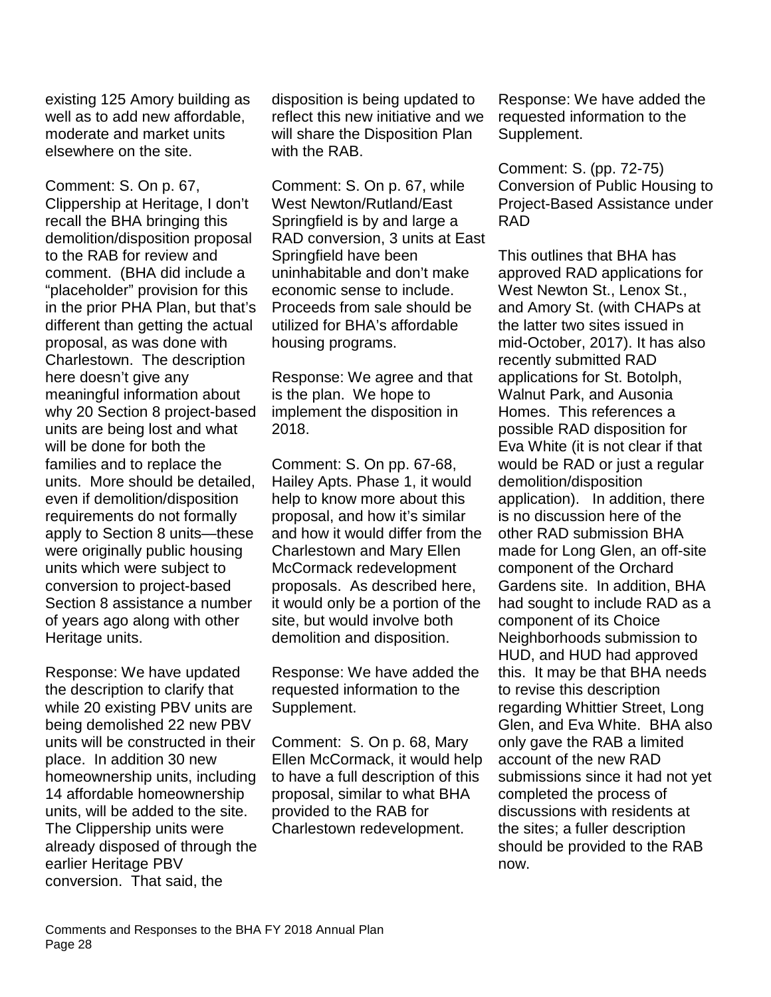existing 125 Amory building as well as to add new affordable, moderate and market units elsewhere on the site.

Comment: S. On p. 67, Clippership at Heritage, I don't recall the BHA bringing this demolition/disposition proposal to the RAB for review and comment. (BHA did include a "placeholder" provision for this in the prior PHA Plan, but that's different than getting the actual proposal, as was done with Charlestown. The description here doesn't give any meaningful information about why 20 Section 8 project-based units are being lost and what will be done for both the families and to replace the units. More should be detailed, even if demolition/disposition requirements do not formally apply to Section 8 units—these were originally public housing units which were subject to conversion to project-based Section 8 assistance a number of years ago along with other Heritage units.

Response: We have updated the description to clarify that while 20 existing PBV units are being demolished 22 new PBV units will be constructed in their place. In addition 30 new homeownership units, including 14 affordable homeownership units, will be added to the site. The Clippership units were already disposed of through the earlier Heritage PBV conversion. That said, the

disposition is being updated to reflect this new initiative and we will share the Disposition Plan with the RAB.

Comment: S. On p. 67, while West Newton/Rutland/East Springfield is by and large a RAD conversion, 3 units at East Springfield have been uninhabitable and don't make economic sense to include. Proceeds from sale should be utilized for BHA's affordable housing programs.

Response: We agree and that is the plan. We hope to implement the disposition in 2018.

Comment: S. On pp. 67-68, Hailey Apts. Phase 1, it would help to know more about this proposal, and how it's similar and how it would differ from the Charlestown and Mary Ellen McCormack redevelopment proposals. As described here, it would only be a portion of the site, but would involve both demolition and disposition.

Response: We have added the requested information to the Supplement.

Comment: S. On p. 68, Mary Ellen McCormack, it would help to have a full description of this proposal, similar to what BHA provided to the RAB for Charlestown redevelopment.

Response: We have added the requested information to the Supplement.

Comment: S. (pp. 72-75) Conversion of Public Housing to Project-Based Assistance under RAD

This outlines that BHA has approved RAD applications for West Newton St., Lenox St., and Amory St. (with CHAPs at the latter two sites issued in mid-October, 2017). It has also recently submitted RAD applications for St. Botolph, Walnut Park, and Ausonia Homes. This references a possible RAD disposition for Eva White (it is not clear if that would be RAD or just a regular demolition/disposition application). In addition, there is no discussion here of the other RAD submission BHA made for Long Glen, an off-site component of the Orchard Gardens site. In addition, BHA had sought to include RAD as a component of its Choice Neighborhoods submission to HUD, and HUD had approved this. It may be that BHA needs to revise this description regarding Whittier Street, Long Glen, and Eva White. BHA also only gave the RAB a limited account of the new RAD submissions since it had not yet completed the process of discussions with residents at the sites; a fuller description should be provided to the RAB now.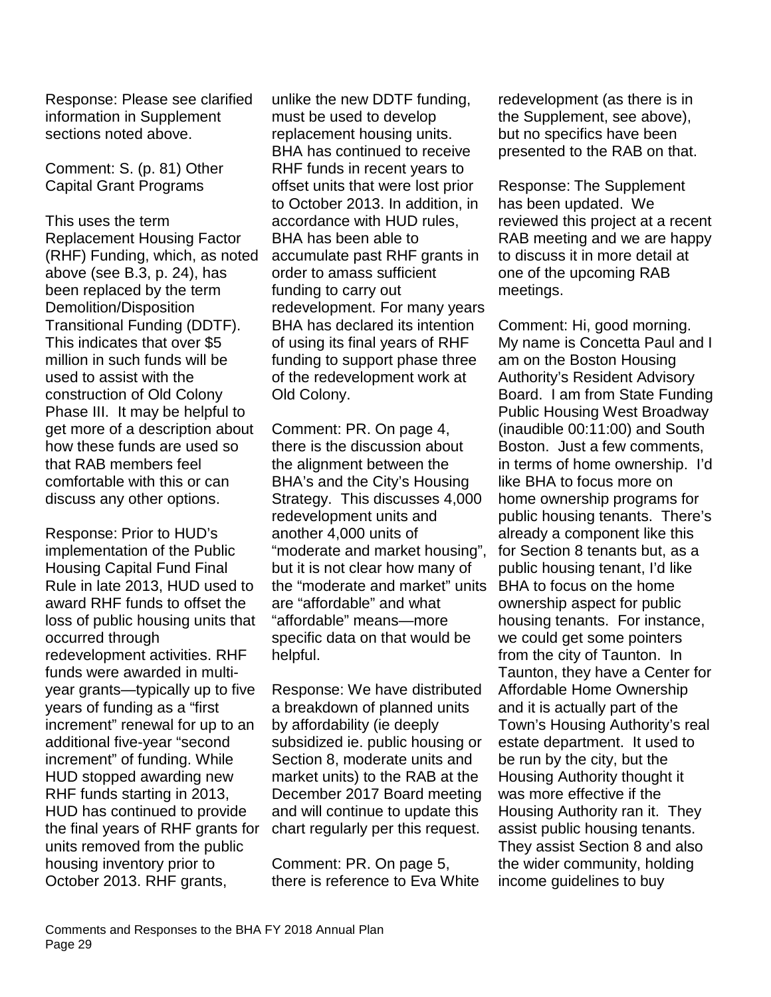Response: Please see clarified information in Supplement sections noted above.

Comment: S. (p. 81) Other Capital Grant Programs

This uses the term Replacement Housing Factor (RHF) Funding, which, as noted above (see B.3, p. 24), has been replaced by the term Demolition/Disposition Transitional Funding (DDTF). This indicates that over \$5 million in such funds will be used to assist with the construction of Old Colony Phase III. It may be helpful to get more of a description about how these funds are used so that RAB members feel comfortable with this or can discuss any other options.

Response: Prior to HUD's implementation of the Public Housing Capital Fund Final Rule in late 2013, HUD used to award RHF funds to offset the loss of public housing units that occurred through redevelopment activities. RHF funds were awarded in multiyear grants—typically up to five years of funding as a "first increment" renewal for up to an additional five-year "second increment" of funding. While HUD stopped awarding new RHF funds starting in 2013, HUD has continued to provide the final years of RHF grants for units removed from the public housing inventory prior to October 2013. RHF grants,

unlike the new DDTF funding, must be used to develop replacement housing units. BHA has continued to receive RHF funds in recent years to offset units that were lost prior to October 2013. In addition, in accordance with HUD rules, BHA has been able to accumulate past RHF grants in order to amass sufficient funding to carry out redevelopment. For many years BHA has declared its intention of using its final years of RHF funding to support phase three of the redevelopment work at Old Colony.

Comment: PR. On page 4, there is the discussion about the alignment between the BHA's and the City's Housing Strategy. This discusses 4,000 redevelopment units and another 4,000 units of "moderate and market housing", but it is not clear how many of the "moderate and market" units are "affordable" and what "affordable" means—more specific data on that would be helpful.

Response: We have distributed a breakdown of planned units by affordability (ie deeply subsidized ie. public housing or Section 8, moderate units and market units) to the RAB at the December 2017 Board meeting and will continue to update this chart regularly per this request.

Comment: PR. On page 5, there is reference to Eva White redevelopment (as there is in the Supplement, see above), but no specifics have been presented to the RAB on that.

Response: The Supplement has been updated. We reviewed this project at a recent RAB meeting and we are happy to discuss it in more detail at one of the upcoming RAB meetings.

Comment: Hi, good morning. My name is Concetta Paul and I am on the Boston Housing Authority's Resident Advisory Board. I am from State Funding Public Housing West Broadway (inaudible 00:11:00) and South Boston. Just a few comments, in terms of home ownership. I'd like BHA to focus more on home ownership programs for public housing tenants. There's already a component like this for Section 8 tenants but, as a public housing tenant, I'd like BHA to focus on the home ownership aspect for public housing tenants. For instance, we could get some pointers from the city of Taunton. In Taunton, they have a Center for Affordable Home Ownership and it is actually part of the Town's Housing Authority's real estate department. It used to be run by the city, but the Housing Authority thought it was more effective if the Housing Authority ran it. They assist public housing tenants. They assist Section 8 and also the wider community, holding income guidelines to buy